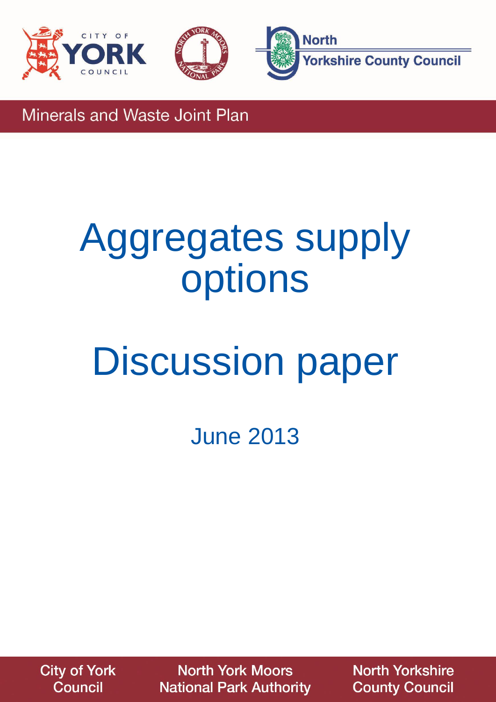



**Minerals and Waste Joint Plan** 

# Aggregates supply options

# Discussion paper

June 2013

**City of York Council** 

**North York Moors National Park Authority**  **North Yorkshire County Council**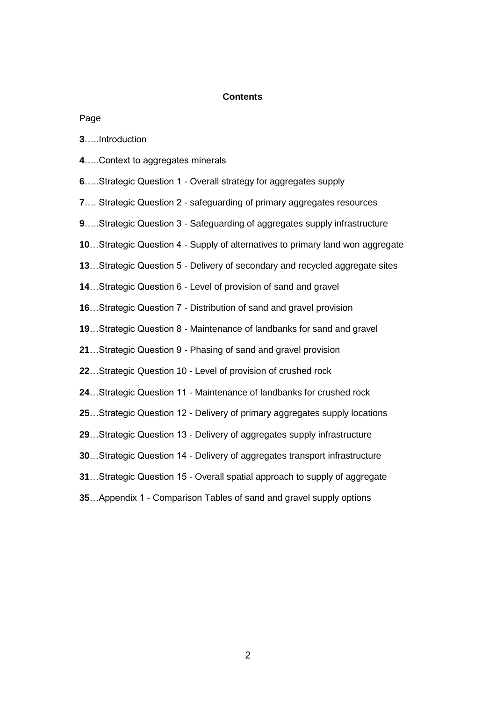#### **Contents**

Page

|  | <b>3Introduction</b> |
|--|----------------------|
|  |                      |

- …..Context to aggregates minerals
- …..Strategic Question 1 Overall strategy for aggregates supply
- …. Strategic Question 2 safeguarding of primary aggregates resources
- …..Strategic Question 3 Safeguarding of aggregates supply infrastructure
- …Strategic Question 4 Supply of alternatives to primary land won aggregate
- …Strategic Question 5 Delivery of secondary and recycled aggregate sites
- …Strategic Question 6 Level of provision of sand and gravel
- …Strategic Question 7 Distribution of sand and gravel provision
- …Strategic Question 8 Maintenance of landbanks for sand and gravel
- …Strategic Question 9 Phasing of sand and gravel provision
- …Strategic Question 10 Level of provision of crushed rock
- …Strategic Question 11 Maintenance of landbanks for crushed rock
- …Strategic Question 12 Delivery of primary aggregates supply locations
- …Strategic Question 13 Delivery of aggregates supply infrastructure
- …Strategic Question 14 Delivery of aggregates transport infrastructure
- …Strategic Question 15 Overall spatial approach to supply of aggregate
- …Appendix 1 Comparison Tables of sand and gravel supply options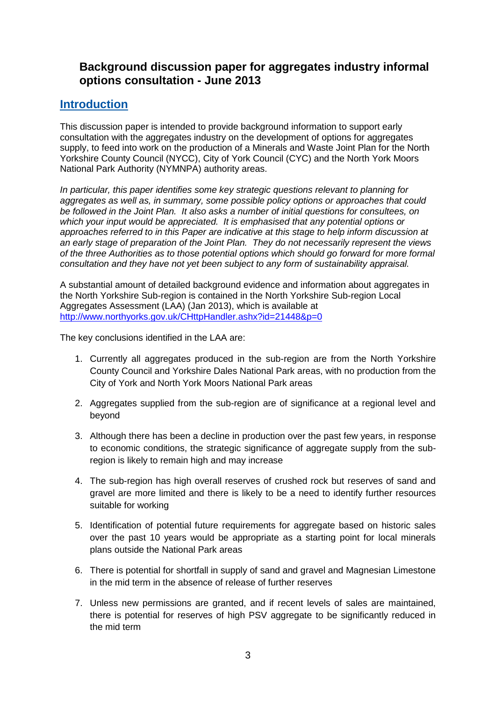# **Background discussion paper for aggregates industry informal options consultation - June 2013**

# **Introduction**

This discussion paper is intended to provide background information to support early consultation with the aggregates industry on the development of options for aggregates supply, to feed into work on the production of a Minerals and Waste Joint Plan for the North Yorkshire County Council (NYCC), City of York Council (CYC) and the North York Moors National Park Authority (NYMNPA) authority areas.

*In particular, this paper identifies some key strategic questions relevant to planning for aggregates as well as, in summary, some possible policy options or approaches that could be followed in the Joint Plan. It also asks a number of initial questions for consultees, on which your input would be appreciated. It is emphasised that any potential options or approaches referred to in this Paper are indicative at this stage to help inform discussion at an early stage of preparation of the Joint Plan. They do not necessarily represent the views of the three Authorities as to those potential options which should go forward for more formal consultation and they have not yet been subject to any form of sustainability appraisal.*

A substantial amount of detailed background evidence and information about aggregates in the North Yorkshire Sub-region is contained in the North Yorkshire Sub-region Local Aggregates Assessment (LAA) (Jan 2013), which is available at <http://www.northyorks.gov.uk/CHttpHandler.ashx?id=21448&p=0>

The key conclusions identified in the LAA are:

- 1. Currently all aggregates produced in the sub-region are from the North Yorkshire County Council and Yorkshire Dales National Park areas, with no production from the City of York and North York Moors National Park areas
- 2. Aggregates supplied from the sub-region are of significance at a regional level and beyond
- 3. Although there has been a decline in production over the past few years, in response to economic conditions, the strategic significance of aggregate supply from the subregion is likely to remain high and may increase
- 4. The sub-region has high overall reserves of crushed rock but reserves of sand and gravel are more limited and there is likely to be a need to identify further resources suitable for working
- 5. Identification of potential future requirements for aggregate based on historic sales over the past 10 years would be appropriate as a starting point for local minerals plans outside the National Park areas
- 6. There is potential for shortfall in supply of sand and gravel and Magnesian Limestone in the mid term in the absence of release of further reserves
- 7. Unless new permissions are granted, and if recent levels of sales are maintained, there is potential for reserves of high PSV aggregate to be significantly reduced in the mid term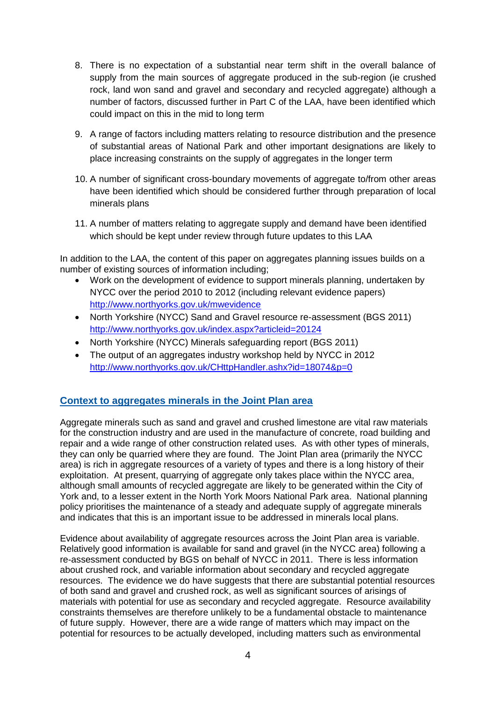- 8. There is no expectation of a substantial near term shift in the overall balance of supply from the main sources of aggregate produced in the sub-region (ie crushed rock, land won sand and gravel and secondary and recycled aggregate) although a number of factors, discussed further in Part C of the LAA, have been identified which could impact on this in the mid to long term
- 9. A range of factors including matters relating to resource distribution and the presence of substantial areas of National Park and other important designations are likely to place increasing constraints on the supply of aggregates in the longer term
- 10. A number of significant cross-boundary movements of aggregate to/from other areas have been identified which should be considered further through preparation of local minerals plans
- 11. A number of matters relating to aggregate supply and demand have been identified which should be kept under review through future updates to this LAA

In addition to the LAA, the content of this paper on aggregates planning issues builds on a number of existing sources of information including;

- Work on the development of evidence to support minerals planning, undertaken by NYCC over the period 2010 to 2012 (including relevant evidence papers) <http://www.northyorks.gov.uk/mwevidence>
- North Yorkshire (NYCC) Sand and Gravel resource re-assessment (BGS 2011) <http://www.northyorks.gov.uk/index.aspx?articleid=20124>
- North Yorkshire (NYCC) Minerals safeguarding report (BGS 2011)
- The output of an aggregates industry workshop held by NYCC in 2012 <http://www.northyorks.gov.uk/CHttpHandler.ashx?id=18074&p=0>

# **Context to aggregates minerals in the Joint Plan area**

Aggregate minerals such as sand and gravel and crushed limestone are vital raw materials for the construction industry and are used in the manufacture of concrete, road building and repair and a wide range of other construction related uses. As with other types of minerals, they can only be quarried where they are found. The Joint Plan area (primarily the NYCC area) is rich in aggregate resources of a variety of types and there is a long history of their exploitation. At present, quarrying of aggregate only takes place within the NYCC area, although small amounts of recycled aggregate are likely to be generated within the City of York and, to a lesser extent in the North York Moors National Park area. National planning policy prioritises the maintenance of a steady and adequate supply of aggregate minerals and indicates that this is an important issue to be addressed in minerals local plans.

Evidence about availability of aggregate resources across the Joint Plan area is variable. Relatively good information is available for sand and gravel (in the NYCC area) following a re-assessment conducted by BGS on behalf of NYCC in 2011. There is less information about crushed rock, and variable information about secondary and recycled aggregate resources. The evidence we do have suggests that there are substantial potential resources of both sand and gravel and crushed rock, as well as significant sources of arisings of materials with potential for use as secondary and recycled aggregate. Resource availability constraints themselves are therefore unlikely to be a fundamental obstacle to maintenance of future supply. However, there are a wide range of matters which may impact on the potential for resources to be actually developed, including matters such as environmental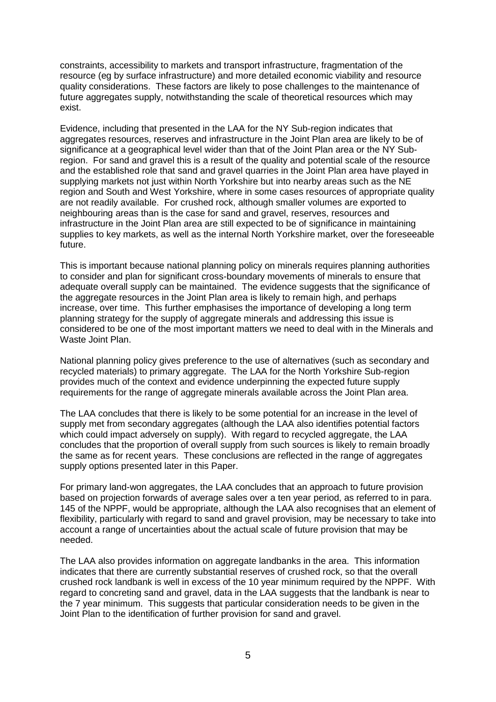constraints, accessibility to markets and transport infrastructure, fragmentation of the resource (eg by surface infrastructure) and more detailed economic viability and resource quality considerations. These factors are likely to pose challenges to the maintenance of future aggregates supply, notwithstanding the scale of theoretical resources which may exist.

Evidence, including that presented in the LAA for the NY Sub-region indicates that aggregates resources, reserves and infrastructure in the Joint Plan area are likely to be of significance at a geographical level wider than that of the Joint Plan area or the NY Subregion. For sand and gravel this is a result of the quality and potential scale of the resource and the established role that sand and gravel quarries in the Joint Plan area have played in supplying markets not just within North Yorkshire but into nearby areas such as the NE region and South and West Yorkshire, where in some cases resources of appropriate quality are not readily available. For crushed rock, although smaller volumes are exported to neighbouring areas than is the case for sand and gravel, reserves, resources and infrastructure in the Joint Plan area are still expected to be of significance in maintaining supplies to key markets, as well as the internal North Yorkshire market, over the foreseeable future.

This is important because national planning policy on minerals requires planning authorities to consider and plan for significant cross-boundary movements of minerals to ensure that adequate overall supply can be maintained. The evidence suggests that the significance of the aggregate resources in the Joint Plan area is likely to remain high, and perhaps increase, over time. This further emphasises the importance of developing a long term planning strategy for the supply of aggregate minerals and addressing this issue is considered to be one of the most important matters we need to deal with in the Minerals and Waste Joint Plan.

National planning policy gives preference to the use of alternatives (such as secondary and recycled materials) to primary aggregate. The LAA for the North Yorkshire Sub-region provides much of the context and evidence underpinning the expected future supply requirements for the range of aggregate minerals available across the Joint Plan area.

The LAA concludes that there is likely to be some potential for an increase in the level of supply met from secondary aggregates (although the LAA also identifies potential factors which could impact adversely on supply). With regard to recycled aggregate, the LAA concludes that the proportion of overall supply from such sources is likely to remain broadly the same as for recent years. These conclusions are reflected in the range of aggregates supply options presented later in this Paper.

For primary land-won aggregates, the LAA concludes that an approach to future provision based on projection forwards of average sales over a ten year period, as referred to in para. 145 of the NPPF, would be appropriate, although the LAA also recognises that an element of flexibility, particularly with regard to sand and gravel provision, may be necessary to take into account a range of uncertainties about the actual scale of future provision that may be needed.

The LAA also provides information on aggregate landbanks in the area. This information indicates that there are currently substantial reserves of crushed rock, so that the overall crushed rock landbank is well in excess of the 10 year minimum required by the NPPF. With regard to concreting sand and gravel, data in the LAA suggests that the landbank is near to the 7 year minimum. This suggests that particular consideration needs to be given in the Joint Plan to the identification of further provision for sand and gravel.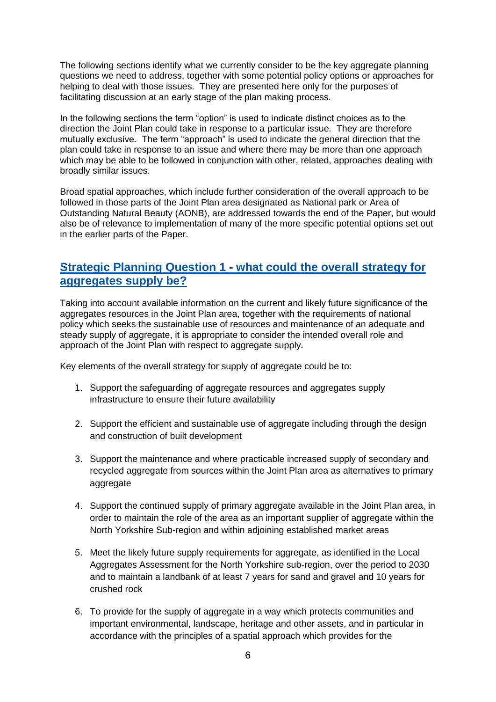The following sections identify what we currently consider to be the key aggregate planning questions we need to address, together with some potential policy options or approaches for helping to deal with those issues. They are presented here only for the purposes of facilitating discussion at an early stage of the plan making process.

In the following sections the term "option" is used to indicate distinct choices as to the direction the Joint Plan could take in response to a particular issue. They are therefore mutually exclusive. The term "approach" is used to indicate the general direction that the plan could take in response to an issue and where there may be more than one approach which may be able to be followed in conjunction with other, related, approaches dealing with broadly similar issues.

Broad spatial approaches, which include further consideration of the overall approach to be followed in those parts of the Joint Plan area designated as National park or Area of Outstanding Natural Beauty (AONB), are addressed towards the end of the Paper, but would also be of relevance to implementation of many of the more specific potential options set out in the earlier parts of the Paper.

# **Strategic Planning Question 1 - what could the overall strategy for aggregates supply be?**

Taking into account available information on the current and likely future significance of the aggregates resources in the Joint Plan area, together with the requirements of national policy which seeks the sustainable use of resources and maintenance of an adequate and steady supply of aggregate, it is appropriate to consider the intended overall role and approach of the Joint Plan with respect to aggregate supply.

Key elements of the overall strategy for supply of aggregate could be to:

- 1. Support the safeguarding of aggregate resources and aggregates supply infrastructure to ensure their future availability
- 2. Support the efficient and sustainable use of aggregate including through the design and construction of built development
- 3. Support the maintenance and where practicable increased supply of secondary and recycled aggregate from sources within the Joint Plan area as alternatives to primary aggregate
- 4. Support the continued supply of primary aggregate available in the Joint Plan area, in order to maintain the role of the area as an important supplier of aggregate within the North Yorkshire Sub-region and within adjoining established market areas
- 5. Meet the likely future supply requirements for aggregate, as identified in the Local Aggregates Assessment for the North Yorkshire sub-region, over the period to 2030 and to maintain a landbank of at least 7 years for sand and gravel and 10 years for crushed rock
- 6. To provide for the supply of aggregate in a way which protects communities and important environmental, landscape, heritage and other assets, and in particular in accordance with the principles of a spatial approach which provides for the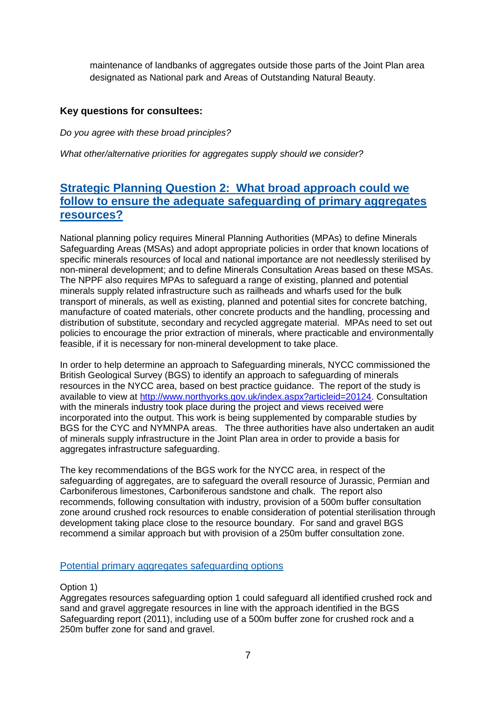maintenance of landbanks of aggregates outside those parts of the Joint Plan area designated as National park and Areas of Outstanding Natural Beauty.

# **Key questions for consultees:**

*Do you agree with these broad principles?*

*What other/alternative priorities for aggregates supply should we consider?*

# **Strategic Planning Question 2: What broad approach could we follow to ensure the adequate safeguarding of primary aggregates resources?**

National planning policy requires Mineral Planning Authorities (MPAs) to define Minerals Safeguarding Areas (MSAs) and adopt appropriate policies in order that known locations of specific minerals resources of local and national importance are not needlessly sterilised by non-mineral development; and to define Minerals Consultation Areas based on these MSAs. The NPPF also requires MPAs to safeguard a range of existing, planned and potential minerals supply related infrastructure such as railheads and wharfs used for the bulk transport of minerals, as well as existing, planned and potential sites for concrete batching, manufacture of coated materials, other concrete products and the handling, processing and distribution of substitute, secondary and recycled aggregate material. MPAs need to set out policies to encourage the prior extraction of minerals, where practicable and environmentally feasible, if it is necessary for non-mineral development to take place.

In order to help determine an approach to Safeguarding minerals, NYCC commissioned the British Geological Survey (BGS) to identify an approach to safeguarding of minerals resources in the NYCC area, based on best practice guidance. The report of the study is available to view at [http://www.northyorks.gov.uk/index.aspx?articleid=20124.](http://www.northyorks.gov.uk/index.aspx?articleid=20124) Consultation with the minerals industry took place during the project and views received were incorporated into the output. This work is being supplemented by comparable studies by BGS for the CYC and NYMNPA areas. The three authorities have also undertaken an audit of minerals supply infrastructure in the Joint Plan area in order to provide a basis for aggregates infrastructure safeguarding.

The key recommendations of the BGS work for the NYCC area, in respect of the safeguarding of aggregates, are to safeguard the overall resource of Jurassic, Permian and Carboniferous limestones, Carboniferous sandstone and chalk. The report also recommends, following consultation with industry, provision of a 500m buffer consultation zone around crushed rock resources to enable consideration of potential sterilisation through development taking place close to the resource boundary. For sand and gravel BGS recommend a similar approach but with provision of a 250m buffer consultation zone.

## Potential primary aggregates safeguarding options

Option 1)

Aggregates resources safeguarding option 1 could safeguard all identified crushed rock and sand and gravel aggregate resources in line with the approach identified in the BGS Safeguarding report (2011), including use of a 500m buffer zone for crushed rock and a 250m buffer zone for sand and gravel.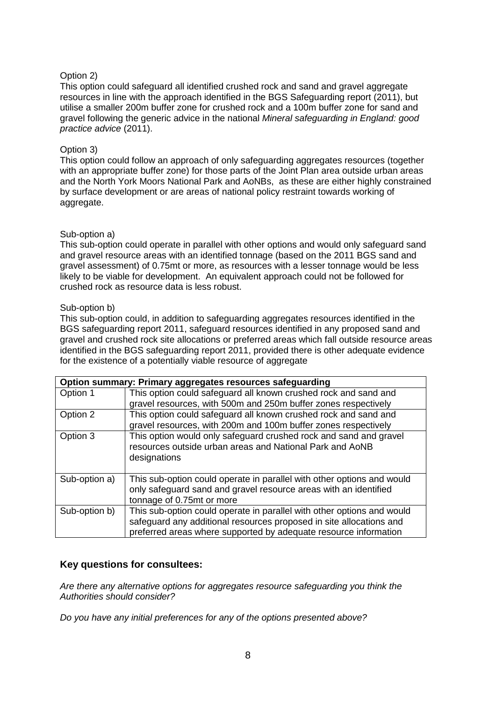# Option 2)

This option could safeguard all identified crushed rock and sand and gravel aggregate resources in line with the approach identified in the BGS Safeguarding report (2011), but utilise a smaller 200m buffer zone for crushed rock and a 100m buffer zone for sand and gravel following the generic advice in the national *Mineral safeguarding in England: good practice advice* (2011).

## Option 3)

This option could follow an approach of only safeguarding aggregates resources (together with an appropriate buffer zone) for those parts of the Joint Plan area outside urban areas and the North York Moors National Park and AoNBs, as these are either highly constrained by surface development or are areas of national policy restraint towards working of aggregate.

## Sub-option a)

This sub-option could operate in parallel with other options and would only safeguard sand and gravel resource areas with an identified tonnage (based on the 2011 BGS sand and gravel assessment) of 0.75mt or more, as resources with a lesser tonnage would be less likely to be viable for development. An equivalent approach could not be followed for crushed rock as resource data is less robust.

#### Sub-option b)

This sub-option could, in addition to safeguarding aggregates resources identified in the BGS safeguarding report 2011, safeguard resources identified in any proposed sand and gravel and crushed rock site allocations or preferred areas which fall outside resource areas identified in the BGS safeguarding report 2011, provided there is other adequate evidence for the existence of a potentially viable resource of aggregate

|               | Option summary: Primary aggregates resources safeguarding              |
|---------------|------------------------------------------------------------------------|
| Option 1      | This option could safeguard all known crushed rock and sand and        |
|               | gravel resources, with 500m and 250m buffer zones respectively         |
| Option 2      | This option could safeguard all known crushed rock and sand and        |
|               | gravel resources, with 200m and 100m buffer zones respectively         |
| Option 3      | This option would only safeguard crushed rock and sand and gravel      |
|               | resources outside urban areas and National Park and AoNB               |
|               | designations                                                           |
|               |                                                                        |
| Sub-option a) | This sub-option could operate in parallel with other options and would |
|               | only safeguard sand and gravel resource areas with an identified       |
|               | tonnage of 0.75mt or more                                              |
| Sub-option b) | This sub-option could operate in parallel with other options and would |
|               | safeguard any additional resources proposed in site allocations and    |
|               | preferred areas where supported by adequate resource information       |

# **Key questions for consultees:**

*Are there any alternative options for aggregates resource safeguarding you think the Authorities should consider?*

*Do you have any initial preferences for any of the options presented above?*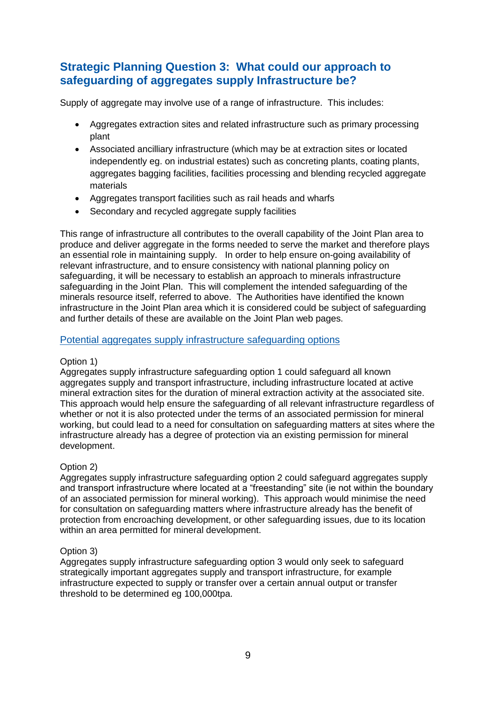# **Strategic Planning Question 3: What could our approach to safeguarding of aggregates supply Infrastructure be?**

Supply of aggregate may involve use of a range of infrastructure. This includes:

- Aggregates extraction sites and related infrastructure such as primary processing plant
- Associated ancilliary infrastructure (which may be at extraction sites or located independently eg. on industrial estates) such as concreting plants, coating plants, aggregates bagging facilities, facilities processing and blending recycled aggregate materials
- Aggregates transport facilities such as rail heads and wharfs
- Secondary and recycled aggregate supply facilities

This range of infrastructure all contributes to the overall capability of the Joint Plan area to produce and deliver aggregate in the forms needed to serve the market and therefore plays an essential role in maintaining supply. In order to help ensure on-going availability of relevant infrastructure, and to ensure consistency with national planning policy on safeguarding, it will be necessary to establish an approach to minerals infrastructure safeguarding in the Joint Plan. This will complement the intended safeguarding of the minerals resource itself, referred to above. The Authorities have identified the known infrastructure in the Joint Plan area which it is considered could be subject of safeguarding and further details of these are available on the Joint Plan web pages.

# Potential aggregates supply infrastructure safeguarding options

## Option 1)

Aggregates supply infrastructure safeguarding option 1 could safeguard all known aggregates supply and transport infrastructure, including infrastructure located at active mineral extraction sites for the duration of mineral extraction activity at the associated site. This approach would help ensure the safeguarding of all relevant infrastructure regardless of whether or not it is also protected under the terms of an associated permission for mineral working, but could lead to a need for consultation on safeguarding matters at sites where the infrastructure already has a degree of protection via an existing permission for mineral development.

## Option 2)

Aggregates supply infrastructure safeguarding option 2 could safeguard aggregates supply and transport infrastructure where located at a "freestanding" site (ie not within the boundary of an associated permission for mineral working). This approach would minimise the need for consultation on safeguarding matters where infrastructure already has the benefit of protection from encroaching development, or other safeguarding issues, due to its location within an area permitted for mineral development.

## Option 3)

Aggregates supply infrastructure safeguarding option 3 would only seek to safeguard strategically important aggregates supply and transport infrastructure, for example infrastructure expected to supply or transfer over a certain annual output or transfer threshold to be determined eg 100,000tpa.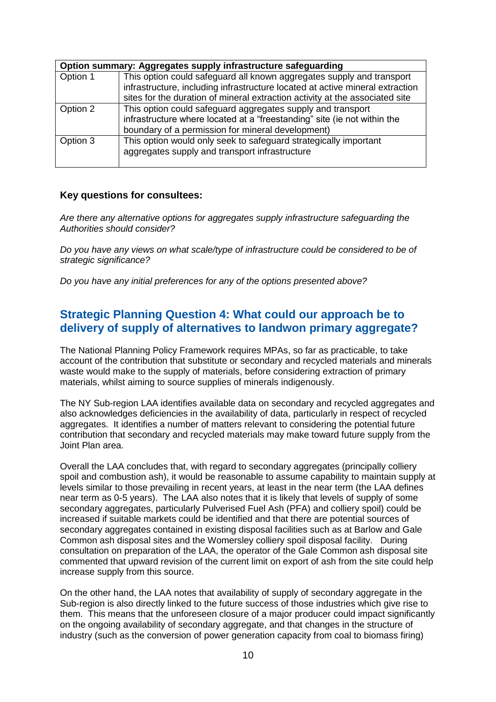|          | Option summary: Aggregates supply infrastructure safeguarding                 |  |  |
|----------|-------------------------------------------------------------------------------|--|--|
| Option 1 | This option could safeguard all known aggregates supply and transport         |  |  |
|          | infrastructure, including infrastructure located at active mineral extraction |  |  |
|          | sites for the duration of mineral extraction activity at the associated site  |  |  |
| Option 2 | This option could safeguard aggregates supply and transport                   |  |  |
|          | infrastructure where located at a "freestanding" site (ie not within the      |  |  |
|          | boundary of a permission for mineral development)                             |  |  |
| Option 3 | This option would only seek to safeguard strategically important              |  |  |
|          | aggregates supply and transport infrastructure                                |  |  |
|          |                                                                               |  |  |

## **Key questions for consultees:**

*Are there any alternative options for aggregates supply infrastructure safeguarding the Authorities should consider?*

*Do you have any views on what scale/type of infrastructure could be considered to be of strategic significance?*

*Do you have any initial preferences for any of the options presented above?*

# **Strategic Planning Question 4: What could our approach be to delivery of supply of alternatives to landwon primary aggregate?**

The National Planning Policy Framework requires MPAs, so far as practicable, to take account of the contribution that substitute or secondary and recycled materials and minerals waste would make to the supply of materials, before considering extraction of primary materials, whilst aiming to source supplies of minerals indigenously.

The NY Sub-region LAA identifies available data on secondary and recycled aggregates and also acknowledges deficiencies in the availability of data, particularly in respect of recycled aggregates. It identifies a number of matters relevant to considering the potential future contribution that secondary and recycled materials may make toward future supply from the Joint Plan area.

Overall the LAA concludes that, with regard to secondary aggregates (principally colliery spoil and combustion ash), it would be reasonable to assume capability to maintain supply at levels similar to those prevailing in recent years, at least in the near term (the LAA defines near term as 0-5 years). The LAA also notes that it is likely that levels of supply of some secondary aggregates, particularly Pulverised Fuel Ash (PFA) and colliery spoil) could be increased if suitable markets could be identified and that there are potential sources of secondary aggregates contained in existing disposal facilities such as at Barlow and Gale Common ash disposal sites and the Womersley colliery spoil disposal facility. During consultation on preparation of the LAA, the operator of the Gale Common ash disposal site commented that upward revision of the current limit on export of ash from the site could help increase supply from this source.

On the other hand, the LAA notes that availability of supply of secondary aggregate in the Sub-region is also directly linked to the future success of those industries which give rise to them. This means that the unforeseen closure of a major producer could impact significantly on the ongoing availability of secondary aggregate, and that changes in the structure of industry (such as the conversion of power generation capacity from coal to biomass firing)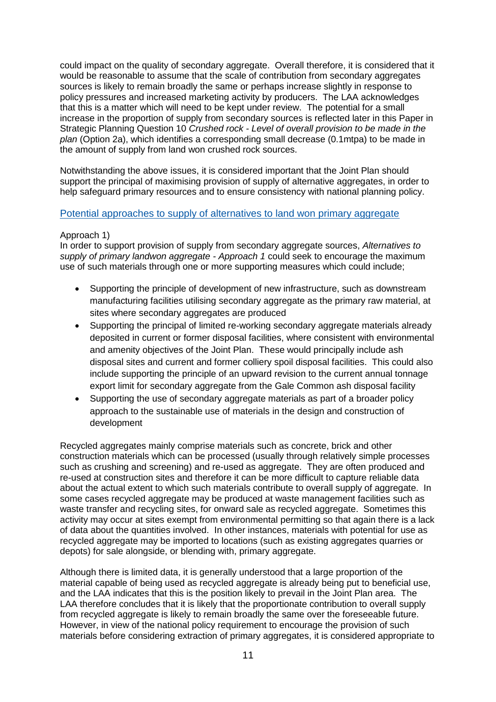could impact on the quality of secondary aggregate. Overall therefore, it is considered that it would be reasonable to assume that the scale of contribution from secondary aggregates sources is likely to remain broadly the same or perhaps increase slightly in response to policy pressures and increased marketing activity by producers. The LAA acknowledges that this is a matter which will need to be kept under review. The potential for a small increase in the proportion of supply from secondary sources is reflected later in this Paper in Strategic Planning Question 10 *Crushed rock - Level of overall provision to be made in the plan* (Option 2a), which identifies a corresponding small decrease (0.1mtpa) to be made in the amount of supply from land won crushed rock sources.

Notwithstanding the above issues, it is considered important that the Joint Plan should support the principal of maximising provision of supply of alternative aggregates, in order to help safeguard primary resources and to ensure consistency with national planning policy.

## Potential approaches to supply of alternatives to land won primary aggregate

#### Approach 1)

In order to support provision of supply from secondary aggregate sources, *Alternatives to supply of primary landwon aggregate - Approach 1* could seek to encourage the maximum use of such materials through one or more supporting measures which could include;

- Supporting the principle of development of new infrastructure, such as downstream manufacturing facilities utilising secondary aggregate as the primary raw material, at sites where secondary aggregates are produced
- Supporting the principal of limited re-working secondary aggregate materials already deposited in current or former disposal facilities, where consistent with environmental and amenity objectives of the Joint Plan. These would principally include ash disposal sites and current and former colliery spoil disposal facilities. This could also include supporting the principle of an upward revision to the current annual tonnage export limit for secondary aggregate from the Gale Common ash disposal facility
- Supporting the use of secondary aggregate materials as part of a broader policy approach to the sustainable use of materials in the design and construction of development

Recycled aggregates mainly comprise materials such as concrete, brick and other construction materials which can be processed (usually through relatively simple processes such as crushing and screening) and re-used as aggregate. They are often produced and re-used at construction sites and therefore it can be more difficult to capture reliable data about the actual extent to which such materials contribute to overall supply of aggregate. In some cases recycled aggregate may be produced at waste management facilities such as waste transfer and recycling sites, for onward sale as recycled aggregate. Sometimes this activity may occur at sites exempt from environmental permitting so that again there is a lack of data about the quantities involved. In other instances, materials with potential for use as recycled aggregate may be imported to locations (such as existing aggregates quarries or depots) for sale alongside, or blending with, primary aggregate.

Although there is limited data, it is generally understood that a large proportion of the material capable of being used as recycled aggregate is already being put to beneficial use, and the LAA indicates that this is the position likely to prevail in the Joint Plan area. The LAA therefore concludes that it is likely that the proportionate contribution to overall supply from recycled aggregate is likely to remain broadly the same over the foreseeable future. However, in view of the national policy requirement to encourage the provision of such materials before considering extraction of primary aggregates, it is considered appropriate to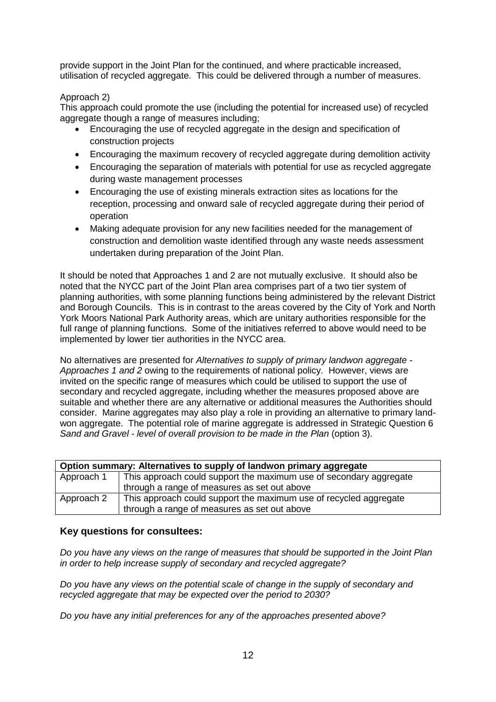provide support in the Joint Plan for the continued, and where practicable increased, utilisation of recycled aggregate. This could be delivered through a number of measures.

# Approach 2)

This approach could promote the use (including the potential for increased use) of recycled aggregate though a range of measures including;

- Encouraging the use of recycled aggregate in the design and specification of construction projects
- Encouraging the maximum recovery of recycled aggregate during demolition activity
- Encouraging the separation of materials with potential for use as recycled aggregate during waste management processes
- Encouraging the use of existing minerals extraction sites as locations for the reception, processing and onward sale of recycled aggregate during their period of operation
- Making adequate provision for any new facilities needed for the management of construction and demolition waste identified through any waste needs assessment undertaken during preparation of the Joint Plan.

It should be noted that Approaches 1 and 2 are not mutually exclusive. It should also be noted that the NYCC part of the Joint Plan area comprises part of a two tier system of planning authorities, with some planning functions being administered by the relevant District and Borough Councils. This is in contrast to the areas covered by the City of York and North York Moors National Park Authority areas, which are unitary authorities responsible for the full range of planning functions. Some of the initiatives referred to above would need to be implemented by lower tier authorities in the NYCC area.

No alternatives are presented for *Alternatives to supply of primary landwon aggregate - Approaches 1 and 2* owing to the requirements of national policy. However, views are invited on the specific range of measures which could be utilised to support the use of secondary and recycled aggregate, including whether the measures proposed above are suitable and whether there are any alternative or additional measures the Authorities should consider. Marine aggregates may also play a role in providing an alternative to primary landwon aggregate. The potential role of marine aggregate is addressed in Strategic Question 6 *Sand and Gravel - level of overall provision to be made in the Plan* (option 3).

| Option summary: Alternatives to supply of landwon primary aggregate |                                                                    |  |
|---------------------------------------------------------------------|--------------------------------------------------------------------|--|
| Approach 1                                                          | This approach could support the maximum use of secondary aggregate |  |
|                                                                     | through a range of measures as set out above                       |  |
| Approach 2                                                          | This approach could support the maximum use of recycled aggregate  |  |
|                                                                     | through a range of measures as set out above                       |  |

# **Key questions for consultees:**

*Do you have any views on the range of measures that should be supported in the Joint Plan in order to help increase supply of secondary and recycled aggregate?*

*Do you have any views on the potential scale of change in the supply of secondary and recycled aggregate that may be expected over the period to 2030?*

*Do you have any initial preferences for any of the approaches presented above?*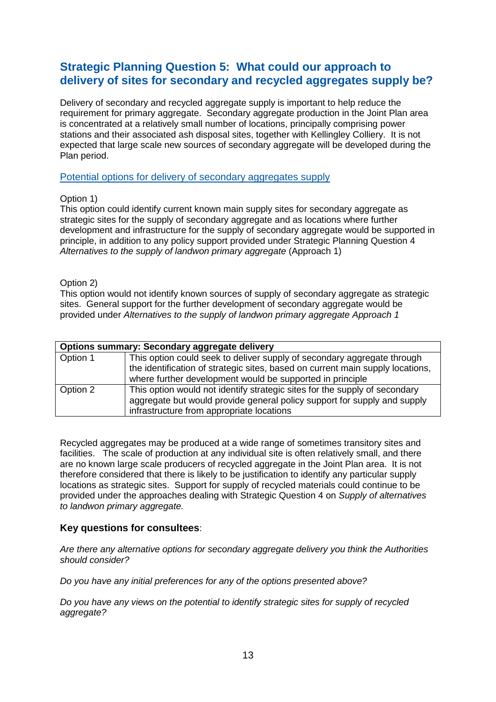# **Strategic Planning Question 5: What could our approach to delivery of sites for secondary and recycled aggregates supply be?**

Delivery of secondary and recycled aggregate supply is important to help reduce the requirement for primary aggregate. Secondary aggregate production in the Joint Plan area is concentrated at a relatively small number of locations, principally comprising power stations and their associated ash disposal sites, together with Kellingley Colliery. It is not expected that large scale new sources of secondary aggregate will be developed during the Plan period.

#### Potential options for delivery of secondary aggregates supply

## Option 1)

This option could identify current known main supply sites for secondary aggregate as strategic sites for the supply of secondary aggregate and as locations where further development and infrastructure for the supply of secondary aggregate would be supported in principle, in addition to any policy support provided under Strategic Planning Question 4 *Alternatives to the supply of landwon primary aggregate* (Approach 1)

#### Option 2)

This option would not identify known sources of supply of secondary aggregate as strategic sites. General support for the further development of secondary aggregate would be provided under *Alternatives to the supply of landwon primary aggregate Approach 1*

|          | <b>Options summary: Secondary aggregate delivery</b>                                                                                                                                                                   |  |  |
|----------|------------------------------------------------------------------------------------------------------------------------------------------------------------------------------------------------------------------------|--|--|
| Option 1 | This option could seek to deliver supply of secondary aggregate through<br>the identification of strategic sites, based on current main supply locations,<br>where further development would be supported in principle |  |  |
| Option 2 | This option would not identify strategic sites for the supply of secondary<br>aggregate but would provide general policy support for supply and supply<br>infrastructure from appropriate locations                    |  |  |

Recycled aggregates may be produced at a wide range of sometimes transitory sites and facilities. The scale of production at any individual site is often relatively small, and there are no known large scale producers of recycled aggregate in the Joint Plan area. It is not therefore considered that there is likely to be justification to identify any particular supply locations as strategic sites. Support for supply of recycled materials could continue to be provided under the approaches dealing with Strategic Question 4 on *Supply of alternatives to landwon primary aggregate.*

## **Key questions for consultees**:

*Are there any alternative options for secondary aggregate delivery you think the Authorities should consider?*

*Do you have any initial preferences for any of the options presented above?*

*Do you have any views on the potential to identify strategic sites for supply of recycled aggregate?*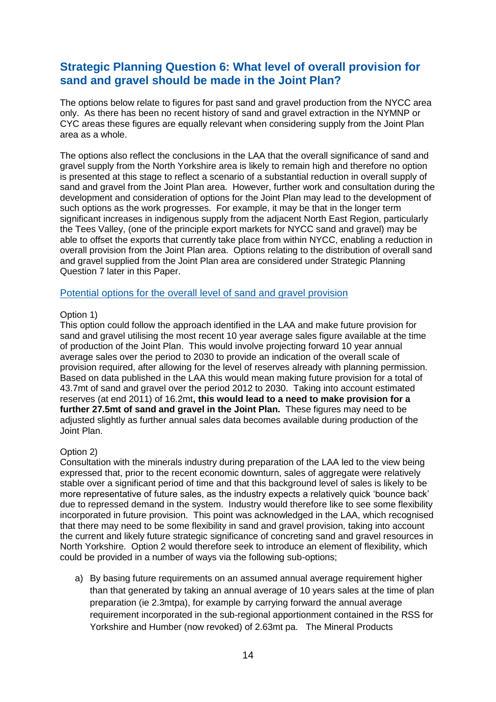# **Strategic Planning Question 6: What level of overall provision for sand and gravel should be made in the Joint Plan?**

The options below relate to figures for past sand and gravel production from the NYCC area only. As there has been no recent history of sand and gravel extraction in the NYMNP or CYC areas these figures are equally relevant when considering supply from the Joint Plan area as a whole.

The options also reflect the conclusions in the LAA that the overall significance of sand and gravel supply from the North Yorkshire area is likely to remain high and therefore no option is presented at this stage to reflect a scenario of a substantial reduction in overall supply of sand and gravel from the Joint Plan area. However, further work and consultation during the development and consideration of options for the Joint Plan may lead to the development of such options as the work progresses. For example, it may be that in the longer term significant increases in indigenous supply from the adjacent North East Region, particularly the Tees Valley, (one of the principle export markets for NYCC sand and gravel) may be able to offset the exports that currently take place from within NYCC, enabling a reduction in overall provision from the Joint Plan area. Options relating to the distribution of overall sand and gravel supplied from the Joint Plan area are considered under Strategic Planning Question 7 later in this Paper.

## Potential options for the overall level of sand and gravel provision

#### Option 1)

This option could follow the approach identified in the LAA and make future provision for sand and gravel utilising the most recent 10 year average sales figure available at the time of production of the Joint Plan. This would involve projecting forward 10 year annual average sales over the period to 2030 to provide an indication of the overall scale of provision required, after allowing for the level of reserves already with planning permission. Based on data published in the LAA this would mean making future provision for a total of 43.7mt of sand and gravel over the period 2012 to 2030. Taking into account estimated reserves (at end 2011) of 16.2mt**, this would lead to a need to make provision for a further 27.5mt of sand and gravel in the Joint Plan.** These figures may need to be adjusted slightly as further annual sales data becomes available during production of the Joint Plan.

## Option 2)

Consultation with the minerals industry during preparation of the LAA led to the view being expressed that, prior to the recent economic downturn, sales of aggregate were relatively stable over a significant period of time and that this background level of sales is likely to be more representative of future sales, as the industry expects a relatively quick 'bounce back' due to repressed demand in the system. Industry would therefore like to see some flexibility incorporated in future provision. This point was acknowledged in the LAA, which recognised that there may need to be some flexibility in sand and gravel provision, taking into account the current and likely future strategic significance of concreting sand and gravel resources in North Yorkshire. Option 2 would therefore seek to introduce an element of flexibility, which could be provided in a number of ways via the following sub-options;

a) By basing future requirements on an assumed annual average requirement higher than that generated by taking an annual average of 10 years sales at the time of plan preparation (ie 2.3mtpa), for example by carrying forward the annual average requirement incorporated in the sub-regional apportionment contained in the RSS for Yorkshire and Humber (now revoked) of 2.63mt pa. The Mineral Products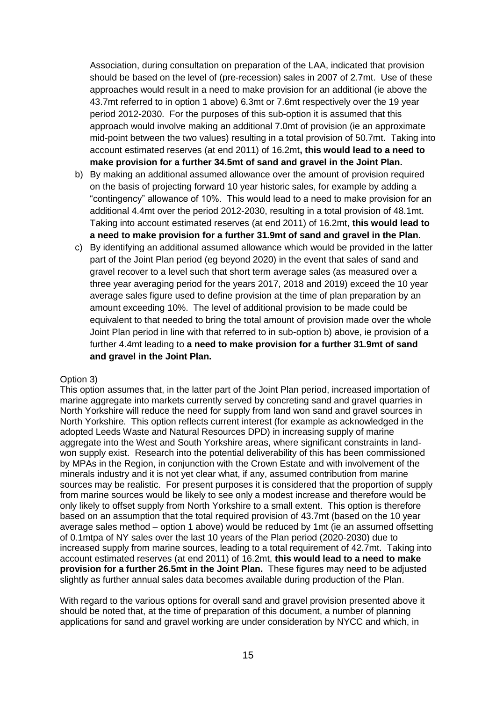Association, during consultation on preparation of the LAA, indicated that provision should be based on the level of (pre-recession) sales in 2007 of 2.7mt. Use of these approaches would result in a need to make provision for an additional (ie above the 43.7mt referred to in option 1 above) 6.3mt or 7.6mt respectively over the 19 year period 2012-2030. For the purposes of this sub-option it is assumed that this approach would involve making an additional 7.0mt of provision (ie an approximate mid-point between the two values) resulting in a total provision of 50.7mt. Taking into account estimated reserves (at end 2011) of 16.2mt**, this would lead to a need to make provision for a further 34.5mt of sand and gravel in the Joint Plan.**

- b) By making an additional assumed allowance over the amount of provision required on the basis of projecting forward 10 year historic sales, for example by adding a "contingency" allowance of 10%. This would lead to a need to make provision for an additional 4.4mt over the period 2012-2030, resulting in a total provision of 48.1mt. Taking into account estimated reserves (at end 2011) of 16.2mt, **this would lead to a need to make provision for a further 31.9mt of sand and gravel in the Plan.**
- c) By identifying an additional assumed allowance which would be provided in the latter part of the Joint Plan period (eg beyond 2020) in the event that sales of sand and gravel recover to a level such that short term average sales (as measured over a three year averaging period for the years 2017, 2018 and 2019) exceed the 10 year average sales figure used to define provision at the time of plan preparation by an amount exceeding 10%. The level of additional provision to be made could be equivalent to that needed to bring the total amount of provision made over the whole Joint Plan period in line with that referred to in sub-option b) above, ie provision of a further 4.4mt leading to **a need to make provision for a further 31.9mt of sand and gravel in the Joint Plan.**

#### Option 3)

This option assumes that, in the latter part of the Joint Plan period, increased importation of marine aggregate into markets currently served by concreting sand and gravel quarries in North Yorkshire will reduce the need for supply from land won sand and gravel sources in North Yorkshire. This option reflects current interest (for example as acknowledged in the adopted Leeds Waste and Natural Resources DPD) in increasing supply of marine aggregate into the West and South Yorkshire areas, where significant constraints in landwon supply exist. Research into the potential deliverability of this has been commissioned by MPAs in the Region, in conjunction with the Crown Estate and with involvement of the minerals industry and it is not yet clear what, if any, assumed contribution from marine sources may be realistic. For present purposes it is considered that the proportion of supply from marine sources would be likely to see only a modest increase and therefore would be only likely to offset supply from North Yorkshire to a small extent. This option is therefore based on an assumption that the total required provision of 43.7mt (based on the 10 year average sales method – option 1 above) would be reduced by 1mt (ie an assumed offsetting of 0.1mtpa of NY sales over the last 10 years of the Plan period (2020-2030) due to increased supply from marine sources, leading to a total requirement of 42.7mt. Taking into account estimated reserves (at end 2011) of 16.2mt, **this would lead to a need to make provision for a further 26.5mt in the Joint Plan.** These figures may need to be adjusted slightly as further annual sales data becomes available during production of the Plan.

With regard to the various options for overall sand and gravel provision presented above it should be noted that, at the time of preparation of this document, a number of planning applications for sand and gravel working are under consideration by NYCC and which, in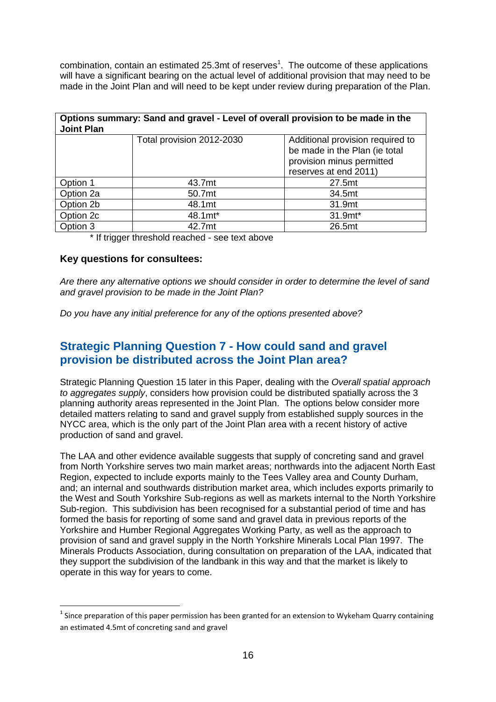combination, contain an estimated 25.3mt of reserves<sup>1</sup>. The outcome of these applications will have a significant bearing on the actual level of additional provision that may need to be made in the Joint Plan and will need to be kept under review during preparation of the Plan.

| Options summary: Sand and gravel - Level of overall provision to be made in the<br><b>Joint Plan</b> |                           |                                  |  |
|------------------------------------------------------------------------------------------------------|---------------------------|----------------------------------|--|
|                                                                                                      | Total provision 2012-2030 | Additional provision required to |  |
|                                                                                                      |                           | be made in the Plan (ie total    |  |
|                                                                                                      |                           | provision minus permitted        |  |
|                                                                                                      |                           | reserves at end 2011)            |  |
| Option 1                                                                                             | 43.7mt                    | 27.5mt                           |  |
| Option 2a                                                                                            | 50.7mt                    | 34.5mt                           |  |
| Option 2b                                                                                            | 48.1mt                    | 31.9mt                           |  |
| Option 2c                                                                                            | 48.1mt*                   | 31.9mt*                          |  |
| Option 3                                                                                             | 42.7mt                    | 26.5mt                           |  |

\* If trigger threshold reached - see text above

#### **Key questions for consultees:**

1

*Are there any alternative options we should consider in order to determine the level of sand and gravel provision to be made in the Joint Plan?*

*Do you have any initial preference for any of the options presented above?*

# **Strategic Planning Question 7 - How could sand and gravel provision be distributed across the Joint Plan area?**

Strategic Planning Question 15 later in this Paper, dealing with the *Overall spatial approach to aggregates supply*, considers how provision could be distributed spatially across the 3 planning authority areas represented in the Joint Plan. The options below consider more detailed matters relating to sand and gravel supply from established supply sources in the NYCC area, which is the only part of the Joint Plan area with a recent history of active production of sand and gravel.

The LAA and other evidence available suggests that supply of concreting sand and gravel from North Yorkshire serves two main market areas; northwards into the adjacent North East Region, expected to include exports mainly to the Tees Valley area and County Durham, and; an internal and southwards distribution market area, which includes exports primarily to the West and South Yorkshire Sub-regions as well as markets internal to the North Yorkshire Sub-region. This subdivision has been recognised for a substantial period of time and has formed the basis for reporting of some sand and gravel data in previous reports of the Yorkshire and Humber Regional Aggregates Working Party, as well as the approach to provision of sand and gravel supply in the North Yorkshire Minerals Local Plan 1997. The Minerals Products Association, during consultation on preparation of the LAA, indicated that they support the subdivision of the landbank in this way and that the market is likely to operate in this way for years to come.

 $<sup>1</sup>$  Since preparation of this paper permission has been granted for an extension to Wykeham Quarry containing</sup> an estimated 4.5mt of concreting sand and gravel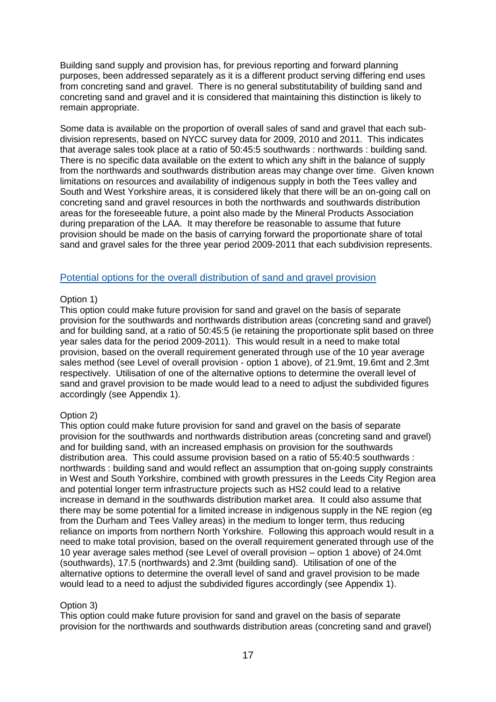Building sand supply and provision has, for previous reporting and forward planning purposes, been addressed separately as it is a different product serving differing end uses from concreting sand and gravel. There is no general substitutability of building sand and concreting sand and gravel and it is considered that maintaining this distinction is likely to remain appropriate.

Some data is available on the proportion of overall sales of sand and gravel that each subdivision represents, based on NYCC survey data for 2009, 2010 and 2011. This indicates that average sales took place at a ratio of 50:45:5 southwards : northwards : building sand. There is no specific data available on the extent to which any shift in the balance of supply from the northwards and southwards distribution areas may change over time. Given known limitations on resources and availability of indigenous supply in both the Tees valley and South and West Yorkshire areas, it is considered likely that there will be an on-going call on concreting sand and gravel resources in both the northwards and southwards distribution areas for the foreseeable future, a point also made by the Mineral Products Association during preparation of the LAA. It may therefore be reasonable to assume that future provision should be made on the basis of carrying forward the proportionate share of total sand and gravel sales for the three year period 2009-2011 that each subdivision represents.

## Potential options for the overall distribution of sand and gravel provision

#### Option 1)

This option could make future provision for sand and gravel on the basis of separate provision for the southwards and northwards distribution areas (concreting sand and gravel) and for building sand, at a ratio of 50:45:5 (ie retaining the proportionate split based on three year sales data for the period 2009-2011). This would result in a need to make total provision, based on the overall requirement generated through use of the 10 year average sales method (see Level of overall provision - option 1 above), of 21.9mt, 19.6mt and 2.3mt respectively. Utilisation of one of the alternative options to determine the overall level of sand and gravel provision to be made would lead to a need to adjust the subdivided figures accordingly (see Appendix 1).

#### Option 2)

This option could make future provision for sand and gravel on the basis of separate provision for the southwards and northwards distribution areas (concreting sand and gravel) and for building sand, with an increased emphasis on provision for the southwards distribution area. This could assume provision based on a ratio of 55:40:5 southwards : northwards : building sand and would reflect an assumption that on-going supply constraints in West and South Yorkshire, combined with growth pressures in the Leeds City Region area and potential longer term infrastructure projects such as HS2 could lead to a relative increase in demand in the southwards distribution market area. It could also assume that there may be some potential for a limited increase in indigenous supply in the NE region (eg from the Durham and Tees Valley areas) in the medium to longer term, thus reducing reliance on imports from northern North Yorkshire. Following this approach would result in a need to make total provision, based on the overall requirement generated through use of the 10 year average sales method (see Level of overall provision – option 1 above) of 24.0mt (southwards), 17.5 (northwards) and 2.3mt (building sand). Utilisation of one of the alternative options to determine the overall level of sand and gravel provision to be made would lead to a need to adjust the subdivided figures accordingly (see Appendix 1).

#### Option 3)

This option could make future provision for sand and gravel on the basis of separate provision for the northwards and southwards distribution areas (concreting sand and gravel)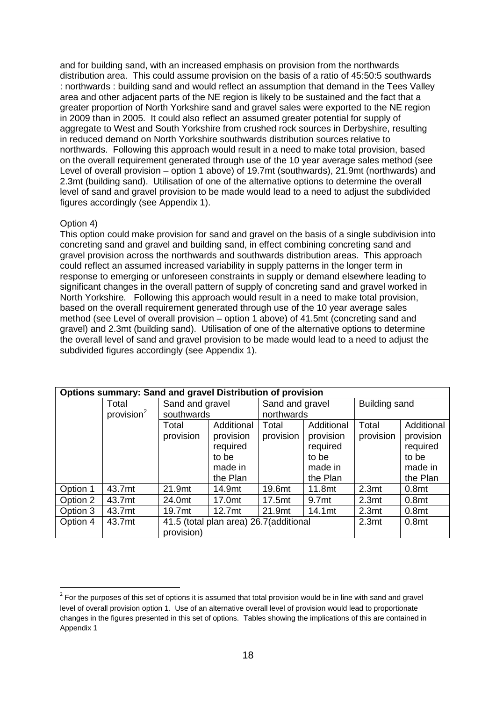and for building sand, with an increased emphasis on provision from the northwards distribution area. This could assume provision on the basis of a ratio of 45:50:5 southwards : northwards : building sand and would reflect an assumption that demand in the Tees Valley area and other adjacent parts of the NE region is likely to be sustained and the fact that a greater proportion of North Yorkshire sand and gravel sales were exported to the NE region in 2009 than in 2005. It could also reflect an assumed greater potential for supply of aggregate to West and South Yorkshire from crushed rock sources in Derbyshire, resulting in reduced demand on North Yorkshire southwards distribution sources relative to northwards. Following this approach would result in a need to make total provision, based on the overall requirement generated through use of the 10 year average sales method (see Level of overall provision – option 1 above) of 19.7mt (southwards), 21.9mt (northwards) and 2.3mt (building sand). Utilisation of one of the alternative options to determine the overall level of sand and gravel provision to be made would lead to a need to adjust the subdivided figures accordingly (see Appendix 1).

## Option 4)

1

This option could make provision for sand and gravel on the basis of a single subdivision into concreting sand and gravel and building sand, in effect combining concreting sand and gravel provision across the northwards and southwards distribution areas. This approach could reflect an assumed increased variability in supply patterns in the longer term in response to emerging or unforeseen constraints in supply or demand elsewhere leading to significant changes in the overall pattern of supply of concreting sand and gravel worked in North Yorkshire. Following this approach would result in a need to make total provision, based on the overall requirement generated through use of the 10 year average sales method (see Level of overall provision – option 1 above) of 41.5mt (concreting sand and gravel) and 2.3mt (building sand). Utilisation of one of the alternative options to determine the overall level of sand and gravel provision to be made would lead to a need to adjust the subdivided figures accordingly (see Appendix 1).

| Options summary: Sand and gravel Distribution of provision |                        |                                                                                   |            |                 |                   |                      |                   |
|------------------------------------------------------------|------------------------|-----------------------------------------------------------------------------------|------------|-----------------|-------------------|----------------------|-------------------|
|                                                            | Total                  | Sand and gravel                                                                   |            | Sand and gravel |                   | <b>Building sand</b> |                   |
|                                                            | provision <sup>2</sup> | southwards                                                                        |            | northwards      |                   |                      |                   |
|                                                            |                        | Total                                                                             | Additional | Total           | Additional        | Total                | Additional        |
|                                                            |                        | provision                                                                         | provision  | provision       | provision         | provision            | provision         |
|                                                            |                        |                                                                                   | required   |                 | required          |                      | required          |
|                                                            |                        |                                                                                   | to be      |                 | to be             |                      | to be             |
|                                                            |                        |                                                                                   | made in    |                 | made in           |                      | made in           |
|                                                            |                        |                                                                                   | the Plan   |                 | the Plan          |                      | the Plan          |
| Option 1                                                   | 43.7mt                 | 21.9mt                                                                            | 14.9mt     | 19.6mt          | 11.8mt            | 2.3 <sub>mt</sub>    | 0.8 <sub>mt</sub> |
| Option 2                                                   | 43.7mt                 | 24.0mt                                                                            | 17.0mt     | 17.5mt          | 9.7 <sub>mt</sub> | 2.3 <sub>mt</sub>    | 0.8 <sub>mt</sub> |
| Option 3                                                   | 43.7mt                 | 19.7mt                                                                            | 12.7mt     | 21.9mt          | 14.1mt            | 2.3 <sub>mt</sub>    | 0.8 <sub>mt</sub> |
| Option 4                                                   | 43.7mt                 | 41.5 (total plan area) 26.7 (additional<br>2.3 <sub>mt</sub><br>0.8 <sub>mt</sub> |            |                 |                   |                      |                   |
|                                                            |                        | provision)                                                                        |            |                 |                   |                      |                   |

 $2^{2}$  For the purposes of this set of options it is assumed that total provision would be in line with sand and gravel level of overall provision option 1. Use of an alternative overall level of provision would lead to proportionate changes in the figures presented in this set of options. Tables showing the implications of this are contained in Appendix 1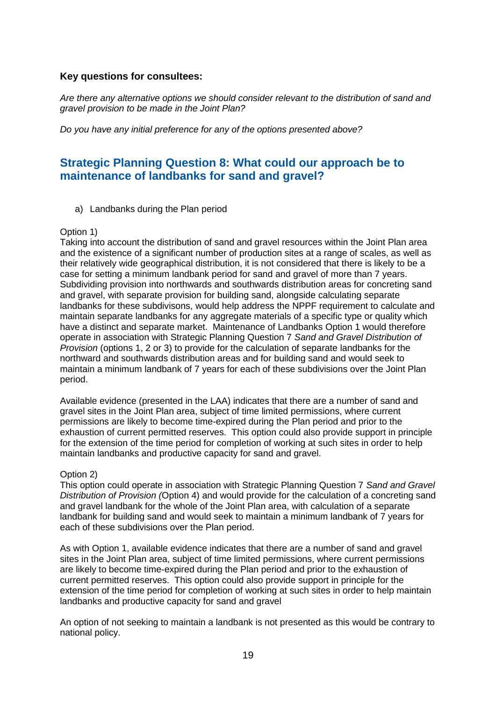# **Key questions for consultees:**

*Are there any alternative options we should consider relevant to the distribution of sand and gravel provision to be made in the Joint Plan?*

*Do you have any initial preference for any of the options presented above?*

# **Strategic Planning Question 8: What could our approach be to maintenance of landbanks for sand and gravel?**

a) Landbanks during the Plan period

#### Option 1)

Taking into account the distribution of sand and gravel resources within the Joint Plan area and the existence of a significant number of production sites at a range of scales, as well as their relatively wide geographical distribution, it is not considered that there is likely to be a case for setting a minimum landbank period for sand and gravel of more than 7 years. Subdividing provision into northwards and southwards distribution areas for concreting sand and gravel, with separate provision for building sand, alongside calculating separate landbanks for these subdivisons, would help address the NPPF requirement to calculate and maintain separate landbanks for any aggregate materials of a specific type or quality which have a distinct and separate market. Maintenance of Landbanks Option 1 would therefore operate in association with Strategic Planning Question 7 *Sand and Gravel Distribution of Provision* (options 1, 2 or 3) to provide for the calculation of separate landbanks for the northward and southwards distribution areas and for building sand and would seek to maintain a minimum landbank of 7 years for each of these subdivisions over the Joint Plan period.

Available evidence (presented in the LAA) indicates that there are a number of sand and gravel sites in the Joint Plan area, subject of time limited permissions, where current permissions are likely to become time-expired during the Plan period and prior to the exhaustion of current permitted reserves. This option could also provide support in principle for the extension of the time period for completion of working at such sites in order to help maintain landbanks and productive capacity for sand and gravel.

## Option 2)

This option could operate in association with Strategic Planning Question 7 *Sand and Gravel Distribution of Provision (*Option 4) and would provide for the calculation of a concreting sand and gravel landbank for the whole of the Joint Plan area, with calculation of a separate landbank for building sand and would seek to maintain a minimum landbank of 7 years for each of these subdivisions over the Plan period.

As with Option 1, available evidence indicates that there are a number of sand and gravel sites in the Joint Plan area, subject of time limited permissions, where current permissions are likely to become time-expired during the Plan period and prior to the exhaustion of current permitted reserves. This option could also provide support in principle for the extension of the time period for completion of working at such sites in order to help maintain landbanks and productive capacity for sand and gravel

An option of not seeking to maintain a landbank is not presented as this would be contrary to national policy.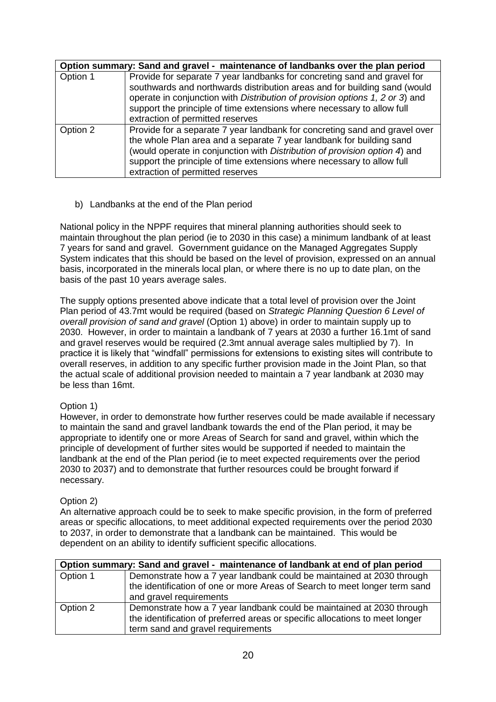|          | Option summary: Sand and gravel - maintenance of landbanks over the plan period                                                                                                                                                                                                                                                                     |
|----------|-----------------------------------------------------------------------------------------------------------------------------------------------------------------------------------------------------------------------------------------------------------------------------------------------------------------------------------------------------|
| Option 1 | Provide for separate 7 year landbanks for concreting sand and gravel for<br>southwards and northwards distribution areas and for building sand (would<br>operate in conjunction with Distribution of provision options 1, 2 or 3) and<br>support the principle of time extensions where necessary to allow full<br>extraction of permitted reserves |
| Option 2 | Provide for a separate 7 year landbank for concreting sand and gravel over<br>the whole Plan area and a separate 7 year landbank for building sand<br>(would operate in conjunction with Distribution of provision option 4) and<br>support the principle of time extensions where necessary to allow full<br>extraction of permitted reserves      |

b) Landbanks at the end of the Plan period

National policy in the NPPF requires that mineral planning authorities should seek to maintain throughout the plan period (ie to 2030 in this case) a minimum landbank of at least 7 years for sand and gravel. Government guidance on the Managed Aggregates Supply System indicates that this should be based on the level of provision, expressed on an annual basis, incorporated in the minerals local plan, or where there is no up to date plan, on the basis of the past 10 years average sales.

The supply options presented above indicate that a total level of provision over the Joint Plan period of 43.7mt would be required (based on *Strategic Planning Question 6 Level of overall provision of sand and gravel* (Option 1) above) in order to maintain supply up to 2030. However, in order to maintain a landbank of 7 years at 2030 a further 16.1mt of sand and gravel reserves would be required (2.3mt annual average sales multiplied by 7). In practice it is likely that "windfall" permissions for extensions to existing sites will contribute to overall reserves, in addition to any specific further provision made in the Joint Plan, so that the actual scale of additional provision needed to maintain a 7 year landbank at 2030 may be less than 16mt.

# Option 1)

However, in order to demonstrate how further reserves could be made available if necessary to maintain the sand and gravel landbank towards the end of the Plan period, it may be appropriate to identify one or more Areas of Search for sand and gravel, within which the principle of development of further sites would be supported if needed to maintain the landbank at the end of the Plan period (ie to meet expected requirements over the period 2030 to 2037) and to demonstrate that further resources could be brought forward if necessary.

# Option 2)

An alternative approach could be to seek to make specific provision, in the form of preferred areas or specific allocations, to meet additional expected requirements over the period 2030 to 2037, in order to demonstrate that a landbank can be maintained. This would be dependent on an ability to identify sufficient specific allocations.

|          | Option summary: Sand and gravel - maintenance of landbank at end of plan period |  |  |
|----------|---------------------------------------------------------------------------------|--|--|
| Option 1 | Demonstrate how a 7 year landbank could be maintained at 2030 through           |  |  |
|          | the identification of one or more Areas of Search to meet longer term sand      |  |  |
|          | and gravel requirements                                                         |  |  |
| Option 2 | Demonstrate how a 7 year landbank could be maintained at 2030 through           |  |  |
|          | the identification of preferred areas or specific allocations to meet longer    |  |  |
|          | term sand and gravel requirements                                               |  |  |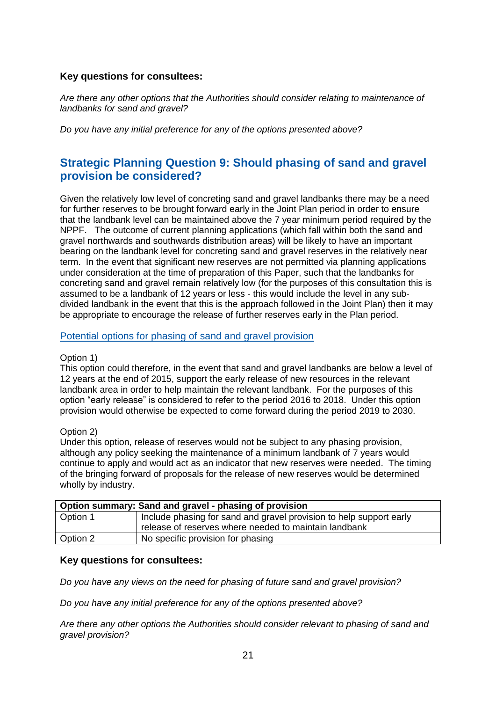# **Key questions for consultees:**

*Are there any other options that the Authorities should consider relating to maintenance of landbanks for sand and gravel?*

*Do you have any initial preference for any of the options presented above?*

# **Strategic Planning Question 9: Should phasing of sand and gravel provision be considered?**

Given the relatively low level of concreting sand and gravel landbanks there may be a need for further reserves to be brought forward early in the Joint Plan period in order to ensure that the landbank level can be maintained above the 7 year minimum period required by the NPPF. The outcome of current planning applications (which fall within both the sand and gravel northwards and southwards distribution areas) will be likely to have an important bearing on the landbank level for concreting sand and gravel reserves in the relatively near term. In the event that significant new reserves are not permitted via planning applications under consideration at the time of preparation of this Paper, such that the landbanks for concreting sand and gravel remain relatively low (for the purposes of this consultation this is assumed to be a landbank of 12 years or less - this would include the level in any subdivided landbank in the event that this is the approach followed in the Joint Plan) then it may be appropriate to encourage the release of further reserves early in the Plan period.

## Potential options for phasing of sand and gravel provision

## Option 1)

This option could therefore, in the event that sand and gravel landbanks are below a level of 12 years at the end of 2015, support the early release of new resources in the relevant landbank area in order to help maintain the relevant landbank. For the purposes of this option "early release" is considered to refer to the period 2016 to 2018. Under this option provision would otherwise be expected to come forward during the period 2019 to 2030.

## Option 2)

Under this option, release of reserves would not be subject to any phasing provision, although any policy seeking the maintenance of a minimum landbank of 7 years would continue to apply and would act as an indicator that new reserves were needed. The timing of the bringing forward of proposals for the release of new reserves would be determined wholly by industry.

| Option summary: Sand and gravel - phasing of provision |                                                                     |  |
|--------------------------------------------------------|---------------------------------------------------------------------|--|
| Option 1                                               | Include phasing for sand and gravel provision to help support early |  |
|                                                        | release of reserves where needed to maintain landbank               |  |
| Option 2                                               | No specific provision for phasing                                   |  |

## **Key questions for consultees:**

*Do you have any views on the need for phasing of future sand and gravel provision?*

*Do you have any initial preference for any of the options presented above?*

*Are there any other options the Authorities should consider relevant to phasing of sand and gravel provision?*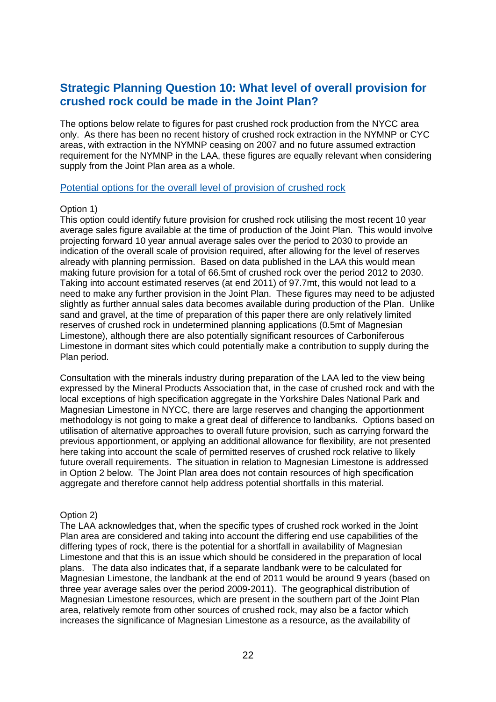# **Strategic Planning Question 10: What level of overall provision for crushed rock could be made in the Joint Plan?**

The options below relate to figures for past crushed rock production from the NYCC area only. As there has been no recent history of crushed rock extraction in the NYMNP or CYC areas, with extraction in the NYMNP ceasing on 2007 and no future assumed extraction requirement for the NYMNP in the LAA, these figures are equally relevant when considering supply from the Joint Plan area as a whole.

#### Potential options for the overall level of provision of crushed rock

#### Option 1)

This option could identify future provision for crushed rock utilising the most recent 10 year average sales figure available at the time of production of the Joint Plan. This would involve projecting forward 10 year annual average sales over the period to 2030 to provide an indication of the overall scale of provision required, after allowing for the level of reserves already with planning permission. Based on data published in the LAA this would mean making future provision for a total of 66.5mt of crushed rock over the period 2012 to 2030. Taking into account estimated reserves (at end 2011) of 97.7mt, this would not lead to a need to make any further provision in the Joint Plan. These figures may need to be adjusted slightly as further annual sales data becomes available during production of the Plan. Unlike sand and gravel, at the time of preparation of this paper there are only relatively limited reserves of crushed rock in undetermined planning applications (0.5mt of Magnesian Limestone), although there are also potentially significant resources of Carboniferous Limestone in dormant sites which could potentially make a contribution to supply during the Plan period.

Consultation with the minerals industry during preparation of the LAA led to the view being expressed by the Mineral Products Association that, in the case of crushed rock and with the local exceptions of high specification aggregate in the Yorkshire Dales National Park and Magnesian Limestone in NYCC, there are large reserves and changing the apportionment methodology is not going to make a great deal of difference to landbanks. Options based on utilisation of alternative approaches to overall future provision, such as carrying forward the previous apportionment, or applying an additional allowance for flexibility, are not presented here taking into account the scale of permitted reserves of crushed rock relative to likely future overall requirements. The situation in relation to Magnesian Limestone is addressed in Option 2 below. The Joint Plan area does not contain resources of high specification aggregate and therefore cannot help address potential shortfalls in this material.

#### Option 2)

The LAA acknowledges that, when the specific types of crushed rock worked in the Joint Plan area are considered and taking into account the differing end use capabilities of the differing types of rock, there is the potential for a shortfall in availability of Magnesian Limestone and that this is an issue which should be considered in the preparation of local plans. The data also indicates that, if a separate landbank were to be calculated for Magnesian Limestone, the landbank at the end of 2011 would be around 9 years (based on three year average sales over the period 2009-2011). The geographical distribution of Magnesian Limestone resources, which are present in the southern part of the Joint Plan area, relatively remote from other sources of crushed rock, may also be a factor which increases the significance of Magnesian Limestone as a resource, as the availability of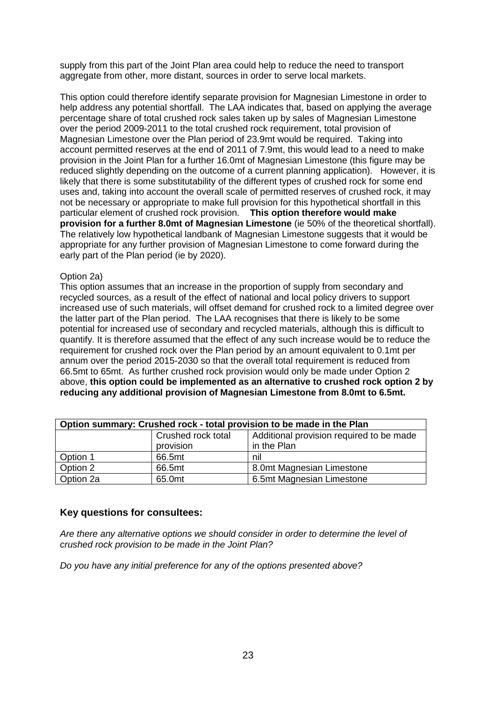supply from this part of the Joint Plan area could help to reduce the need to transport aggregate from other, more distant, sources in order to serve local markets.

This option could therefore identify separate provision for Magnesian Limestone in order to help address any potential shortfall. The LAA indicates that, based on applying the average percentage share of total crushed rock sales taken up by sales of Magnesian Limestone over the period 2009-2011 to the total crushed rock requirement, total provision of Magnesian Limestone over the Plan period of 23.9mt would be required. Taking into account permitted reserves at the end of 2011 of 7.9mt, this would lead to a need to make provision in the Joint Plan for a further 16.0mt of Magnesian Limestone (this figure may be reduced slightly depending on the outcome of a current planning application). However, it is likely that there is some substitutability of the different types of crushed rock for some end uses and, taking into account the overall scale of permitted reserves of crushed rock, it may not be necessary or appropriate to make full provision for this hypothetical shortfall in this particular element of crushed rock provision. **This option therefore would make provision for a further 8.0mt of Magnesian Limestone** (ie 50% of the theoretical shortfall). The relatively low hypothetical landbank of Magnesian Limestone suggests that it would be appropriate for any further provision of Magnesian Limestone to come forward during the early part of the Plan period (ie by 2020).

## Option 2a)

This option assumes that an increase in the proportion of supply from secondary and recycled sources, as a result of the effect of national and local policy drivers to support increased use of such materials, will offset demand for crushed rock to a limited degree over the latter part of the Plan period. The LAA recognises that there is likely to be some potential for increased use of secondary and recycled materials, although this is difficult to quantify. It is therefore assumed that the effect of any such increase would be to reduce the requirement for crushed rock over the Plan period by an amount equivalent to 0.1mt per annum over the period 2015-2030 so that the overall total requirement is reduced from 66.5mt to 65mt. As further crushed rock provision would only be made under Option 2 above, **this option could be implemented as an alternative to crushed rock option 2 by reducing any additional provision of Magnesian Limestone from 8.0mt to 6.5mt.**

| Option summary: Crushed rock - total provision to be made in the Plan |                    |                                          |
|-----------------------------------------------------------------------|--------------------|------------------------------------------|
|                                                                       | Crushed rock total | Additional provision required to be made |
|                                                                       | provision          | in the Plan                              |
| Option 1                                                              | 66.5mt             | nil                                      |
| Option 2                                                              | 66.5mt             | 8.0mt Magnesian Limestone                |
| Option 2a                                                             | 65.0mt             | 6.5mt Magnesian Limestone                |

## **Key questions for consultees:**

*Are there any alternative options we should consider in order to determine the level of crushed rock provision to be made in the Joint Plan?*

*Do you have any initial preference for any of the options presented above?*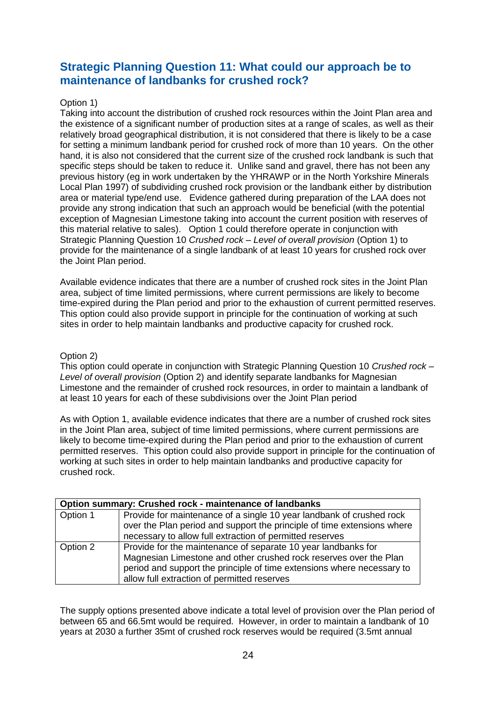# **Strategic Planning Question 11: What could our approach be to maintenance of landbanks for crushed rock?**

# Option 1)

Taking into account the distribution of crushed rock resources within the Joint Plan area and the existence of a significant number of production sites at a range of scales, as well as their relatively broad geographical distribution, it is not considered that there is likely to be a case for setting a minimum landbank period for crushed rock of more than 10 years. On the other hand, it is also not considered that the current size of the crushed rock landbank is such that specific steps should be taken to reduce it. Unlike sand and gravel, there has not been any previous history (eg in work undertaken by the YHRAWP or in the North Yorkshire Minerals Local Plan 1997) of subdividing crushed rock provision or the landbank either by distribution area or material type/end use. Evidence gathered during preparation of the LAA does not provide any strong indication that such an approach would be beneficial (with the potential exception of Magnesian Limestone taking into account the current position with reserves of this material relative to sales). Option 1 could therefore operate in conjunction with Strategic Planning Question 10 *Crushed rock – Level of overall provision* (Option 1) to provide for the maintenance of a single landbank of at least 10 years for crushed rock over the Joint Plan period.

Available evidence indicates that there are a number of crushed rock sites in the Joint Plan area, subject of time limited permissions, where current permissions are likely to become time-expired during the Plan period and prior to the exhaustion of current permitted reserves. This option could also provide support in principle for the continuation of working at such sites in order to help maintain landbanks and productive capacity for crushed rock.

## Option 2)

This option could operate in conjunction with Strategic Planning Question 10 *Crushed rock – Level of overall provision* (Option 2) and identify separate landbanks for Magnesian Limestone and the remainder of crushed rock resources, in order to maintain a landbank of at least 10 years for each of these subdivisions over the Joint Plan period

As with Option 1, available evidence indicates that there are a number of crushed rock sites in the Joint Plan area, subject of time limited permissions, where current permissions are likely to become time-expired during the Plan period and prior to the exhaustion of current permitted reserves. This option could also provide support in principle for the continuation of working at such sites in order to help maintain landbanks and productive capacity for crushed rock.

|          | Option summary: Crushed rock - maintenance of landbanks                                                                                                                                                                                                     |  |  |
|----------|-------------------------------------------------------------------------------------------------------------------------------------------------------------------------------------------------------------------------------------------------------------|--|--|
| Option 1 | Provide for maintenance of a single 10 year landbank of crushed rock<br>over the Plan period and support the principle of time extensions where<br>necessary to allow full extraction of permitted reserves                                                 |  |  |
| Option 2 | Provide for the maintenance of separate 10 year landbanks for<br>Magnesian Limestone and other crushed rock reserves over the Plan<br>period and support the principle of time extensions where necessary to<br>allow full extraction of permitted reserves |  |  |

The supply options presented above indicate a total level of provision over the Plan period of between 65 and 66.5mt would be required. However, in order to maintain a landbank of 10 years at 2030 a further 35mt of crushed rock reserves would be required (3.5mt annual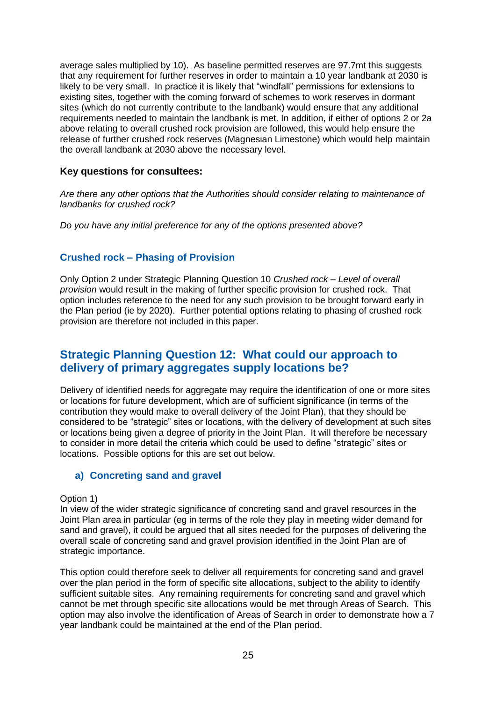average sales multiplied by 10). As baseline permitted reserves are 97.7mt this suggests that any requirement for further reserves in order to maintain a 10 year landbank at 2030 is likely to be very small. In practice it is likely that "windfall" permissions for extensions to existing sites, together with the coming forward of schemes to work reserves in dormant sites (which do not currently contribute to the landbank) would ensure that any additional requirements needed to maintain the landbank is met. In addition, if either of options 2 or 2a above relating to overall crushed rock provision are followed, this would help ensure the release of further crushed rock reserves (Magnesian Limestone) which would help maintain the overall landbank at 2030 above the necessary level.

# **Key questions for consultees:**

*Are there any other options that the Authorities should consider relating to maintenance of landbanks for crushed rock?*

*Do you have any initial preference for any of the options presented above?*

# **Crushed rock – Phasing of Provision**

Only Option 2 under Strategic Planning Question 10 *Crushed rock – Level of overall provision* would result in the making of further specific provision for crushed rock. That option includes reference to the need for any such provision to be brought forward early in the Plan period (ie by 2020). Further potential options relating to phasing of crushed rock provision are therefore not included in this paper.

# **Strategic Planning Question 12: What could our approach to delivery of primary aggregates supply locations be?**

Delivery of identified needs for aggregate may require the identification of one or more sites or locations for future development, which are of sufficient significance (in terms of the contribution they would make to overall delivery of the Joint Plan), that they should be considered to be "strategic" sites or locations, with the delivery of development at such sites or locations being given a degree of priority in the Joint Plan. It will therefore be necessary to consider in more detail the criteria which could be used to define "strategic" sites or locations. Possible options for this are set out below.

# **a) Concreting sand and gravel**

#### Option 1)

In view of the wider strategic significance of concreting sand and gravel resources in the Joint Plan area in particular (eg in terms of the role they play in meeting wider demand for sand and gravel), it could be argued that all sites needed for the purposes of delivering the overall scale of concreting sand and gravel provision identified in the Joint Plan are of strategic importance.

This option could therefore seek to deliver all requirements for concreting sand and gravel over the plan period in the form of specific site allocations, subject to the ability to identify sufficient suitable sites. Any remaining requirements for concreting sand and gravel which cannot be met through specific site allocations would be met through Areas of Search. This option may also involve the identification of Areas of Search in order to demonstrate how a 7 year landbank could be maintained at the end of the Plan period.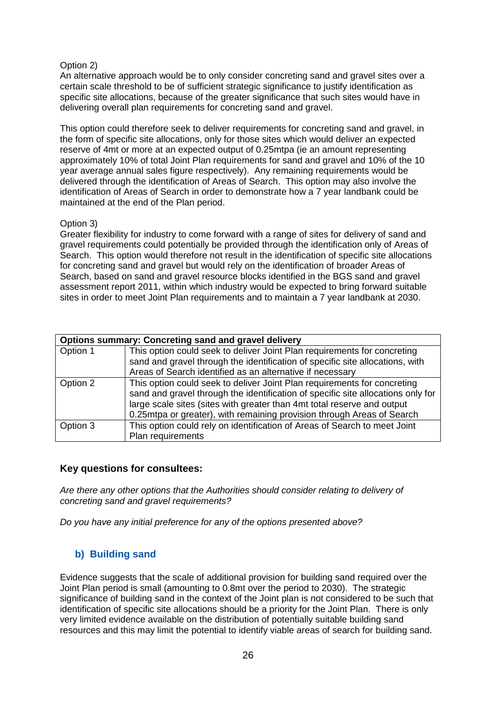#### Option 2)

An alternative approach would be to only consider concreting sand and gravel sites over a certain scale threshold to be of sufficient strategic significance to justify identification as specific site allocations, because of the greater significance that such sites would have in delivering overall plan requirements for concreting sand and gravel.

This option could therefore seek to deliver requirements for concreting sand and gravel, in the form of specific site allocations, only for those sites which would deliver an expected reserve of 4mt or more at an expected output of 0.25mtpa (ie an amount representing approximately 10% of total Joint Plan requirements for sand and gravel and 10% of the 10 year average annual sales figure respectively). Any remaining requirements would be delivered through the identification of Areas of Search. This option may also involve the identification of Areas of Search in order to demonstrate how a 7 year landbank could be maintained at the end of the Plan period.

#### Option 3)

Greater flexibility for industry to come forward with a range of sites for delivery of sand and gravel requirements could potentially be provided through the identification only of Areas of Search. This option would therefore not result in the identification of specific site allocations for concreting sand and gravel but would rely on the identification of broader Areas of Search, based on sand and gravel resource blocks identified in the BGS sand and gravel assessment report 2011, within which industry would be expected to bring forward suitable sites in order to meet Joint Plan requirements and to maintain a 7 year landbank at 2030.

|          | <b>Options summary: Concreting sand and gravel delivery</b>                                                                                                                                                                                                                                                       |  |  |  |  |
|----------|-------------------------------------------------------------------------------------------------------------------------------------------------------------------------------------------------------------------------------------------------------------------------------------------------------------------|--|--|--|--|
| Option 1 | This option could seek to deliver Joint Plan requirements for concreting                                                                                                                                                                                                                                          |  |  |  |  |
|          | sand and gravel through the identification of specific site allocations, with                                                                                                                                                                                                                                     |  |  |  |  |
|          | Areas of Search identified as an alternative if necessary                                                                                                                                                                                                                                                         |  |  |  |  |
| Option 2 | This option could seek to deliver Joint Plan requirements for concreting<br>sand and gravel through the identification of specific site allocations only for<br>large scale sites (sites with greater than 4mt total reserve and output<br>0.25mtpa or greater), with remaining provision through Areas of Search |  |  |  |  |
| Option 3 | This option could rely on identification of Areas of Search to meet Joint<br>Plan requirements                                                                                                                                                                                                                    |  |  |  |  |

# **Key questions for consultees:**

*Are there any other options that the Authorities should consider relating to delivery of concreting sand and gravel requirements?*

*Do you have any initial preference for any of the options presented above?*

# **b) Building sand**

Evidence suggests that the scale of additional provision for building sand required over the Joint Plan period is small (amounting to 0.8mt over the period to 2030). The strategic significance of building sand in the context of the Joint plan is not considered to be such that identification of specific site allocations should be a priority for the Joint Plan. There is only very limited evidence available on the distribution of potentially suitable building sand resources and this may limit the potential to identify viable areas of search for building sand.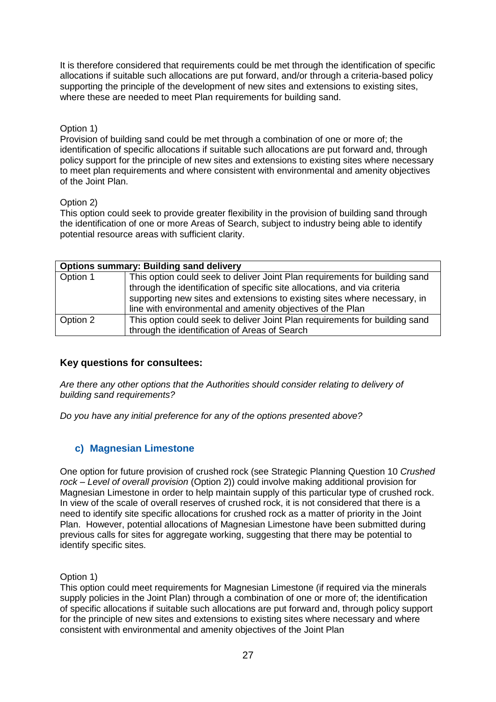It is therefore considered that requirements could be met through the identification of specific allocations if suitable such allocations are put forward, and/or through a criteria-based policy supporting the principle of the development of new sites and extensions to existing sites, where these are needed to meet Plan requirements for building sand.

# Option 1)

Provision of building sand could be met through a combination of one or more of; the identification of specific allocations if suitable such allocations are put forward and, through policy support for the principle of new sites and extensions to existing sites where necessary to meet plan requirements and where consistent with environmental and amenity objectives of the Joint Plan.

# Option 2)

This option could seek to provide greater flexibility in the provision of building sand through the identification of one or more Areas of Search, subject to industry being able to identify potential resource areas with sufficient clarity.

|          | <b>Options summary: Building sand delivery</b>                                                                                                                                                                                                                                                      |  |  |  |  |
|----------|-----------------------------------------------------------------------------------------------------------------------------------------------------------------------------------------------------------------------------------------------------------------------------------------------------|--|--|--|--|
| Option 1 | This option could seek to deliver Joint Plan requirements for building sand<br>through the identification of specific site allocations, and via criteria<br>supporting new sites and extensions to existing sites where necessary, in<br>line with environmental and amenity objectives of the Plan |  |  |  |  |
| Option 2 | This option could seek to deliver Joint Plan requirements for building sand<br>through the identification of Areas of Search                                                                                                                                                                        |  |  |  |  |

# **Key questions for consultees:**

*Are there any other options that the Authorities should consider relating to delivery of building sand requirements?*

*Do you have any initial preference for any of the options presented above?*

# **c) Magnesian Limestone**

One option for future provision of crushed rock (see Strategic Planning Question 10 *Crushed rock – Level of overall provision* (Option 2)) could involve making additional provision for Magnesian Limestone in order to help maintain supply of this particular type of crushed rock. In view of the scale of overall reserves of crushed rock, it is not considered that there is a need to identify site specific allocations for crushed rock as a matter of priority in the Joint Plan. However, potential allocations of Magnesian Limestone have been submitted during previous calls for sites for aggregate working, suggesting that there may be potential to identify specific sites.

Option 1)

This option could meet requirements for Magnesian Limestone (if required via the minerals supply policies in the Joint Plan) through a combination of one or more of; the identification of specific allocations if suitable such allocations are put forward and, through policy support for the principle of new sites and extensions to existing sites where necessary and where consistent with environmental and amenity objectives of the Joint Plan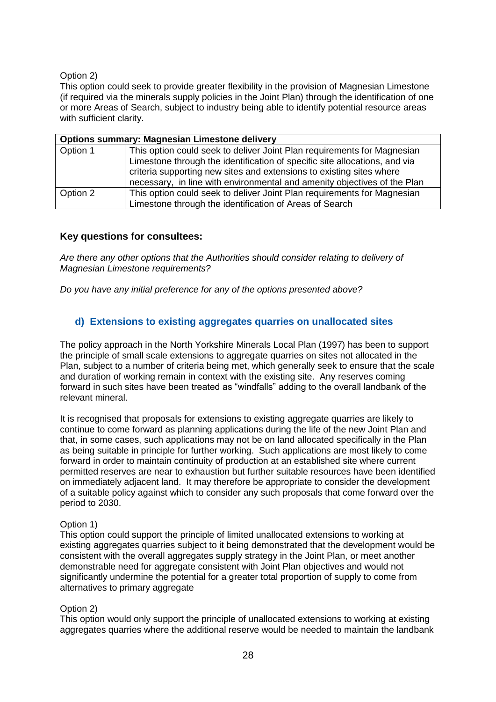Option 2)

This option could seek to provide greater flexibility in the provision of Magnesian Limestone (if required via the minerals supply policies in the Joint Plan) through the identification of one or more Areas of Search, subject to industry being able to identify potential resource areas with sufficient clarity.

|          | <b>Options summary: Magnesian Limestone delivery</b>                       |  |  |  |
|----------|----------------------------------------------------------------------------|--|--|--|
| Option 1 | This option could seek to deliver Joint Plan requirements for Magnesian    |  |  |  |
|          | Limestone through the identification of specific site allocations, and via |  |  |  |
|          | criteria supporting new sites and extensions to existing sites where       |  |  |  |
|          | necessary, in line with environmental and amenity objectives of the Plan   |  |  |  |
| Option 2 | This option could seek to deliver Joint Plan requirements for Magnesian    |  |  |  |
|          | Limestone through the identification of Areas of Search                    |  |  |  |

# **Key questions for consultees:**

*Are there any other options that the Authorities should consider relating to delivery of Magnesian Limestone requirements?*

*Do you have any initial preference for any of the options presented above?*

# **d) Extensions to existing aggregates quarries on unallocated sites**

The policy approach in the North Yorkshire Minerals Local Plan (1997) has been to support the principle of small scale extensions to aggregate quarries on sites not allocated in the Plan, subject to a number of criteria being met, which generally seek to ensure that the scale and duration of working remain in context with the existing site. Any reserves coming forward in such sites have been treated as "windfalls" adding to the overall landbank of the relevant mineral.

It is recognised that proposals for extensions to existing aggregate quarries are likely to continue to come forward as planning applications during the life of the new Joint Plan and that, in some cases, such applications may not be on land allocated specifically in the Plan as being suitable in principle for further working. Such applications are most likely to come forward in order to maintain continuity of production at an established site where current permitted reserves are near to exhaustion but further suitable resources have been identified on immediately adjacent land. It may therefore be appropriate to consider the development of a suitable policy against which to consider any such proposals that come forward over the period to 2030.

## Option 1)

This option could support the principle of limited unallocated extensions to working at existing aggregates quarries subject to it being demonstrated that the development would be consistent with the overall aggregates supply strategy in the Joint Plan, or meet another demonstrable need for aggregate consistent with Joint Plan objectives and would not significantly undermine the potential for a greater total proportion of supply to come from alternatives to primary aggregate

# Option 2)

This option would only support the principle of unallocated extensions to working at existing aggregates quarries where the additional reserve would be needed to maintain the landbank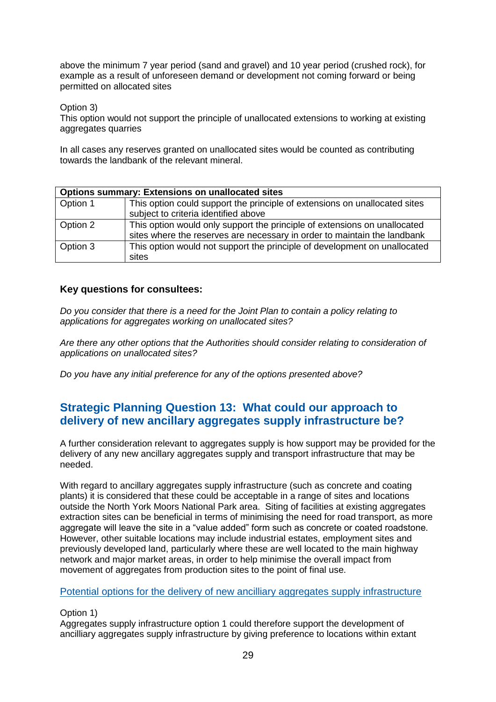above the minimum 7 year period (sand and gravel) and 10 year period (crushed rock), for example as a result of unforeseen demand or development not coming forward or being permitted on allocated sites

Option 3)

This option would not support the principle of unallocated extensions to working at existing aggregates quarries

In all cases any reserves granted on unallocated sites would be counted as contributing towards the landbank of the relevant mineral.

|          | <b>Options summary: Extensions on unallocated sites</b>                                                                                               |  |  |  |  |
|----------|-------------------------------------------------------------------------------------------------------------------------------------------------------|--|--|--|--|
| Option 1 | This option could support the principle of extensions on unallocated sites<br>subject to criteria identified above                                    |  |  |  |  |
| Option 2 | This option would only support the principle of extensions on unallocated<br>sites where the reserves are necessary in order to maintain the landbank |  |  |  |  |
| Option 3 | This option would not support the principle of development on unallocated<br>sites                                                                    |  |  |  |  |

# **Key questions for consultees:**

*Do you consider that there is a need for the Joint Plan to contain a policy relating to applications for aggregates working on unallocated sites?*

*Are there any other options that the Authorities should consider relating to consideration of applications on unallocated sites?*

*Do you have any initial preference for any of the options presented above?*

# **Strategic Planning Question 13: What could our approach to delivery of new ancillary aggregates supply infrastructure be?**

A further consideration relevant to aggregates supply is how support may be provided for the delivery of any new ancillary aggregates supply and transport infrastructure that may be needed.

With regard to ancillary aggregates supply infrastructure (such as concrete and coating plants) it is considered that these could be acceptable in a range of sites and locations outside the North York Moors National Park area. Siting of facilities at existing aggregates extraction sites can be beneficial in terms of minimising the need for road transport, as more aggregate will leave the site in a "value added" form such as concrete or coated roadstone. However, other suitable locations may include industrial estates, employment sites and previously developed land, particularly where these are well located to the main highway network and major market areas, in order to help minimise the overall impact from movement of aggregates from production sites to the point of final use.

## Potential options for the delivery of new ancilliary aggregates supply infrastructure

#### Option 1)

Aggregates supply infrastructure option 1 could therefore support the development of ancilliary aggregates supply infrastructure by giving preference to locations within extant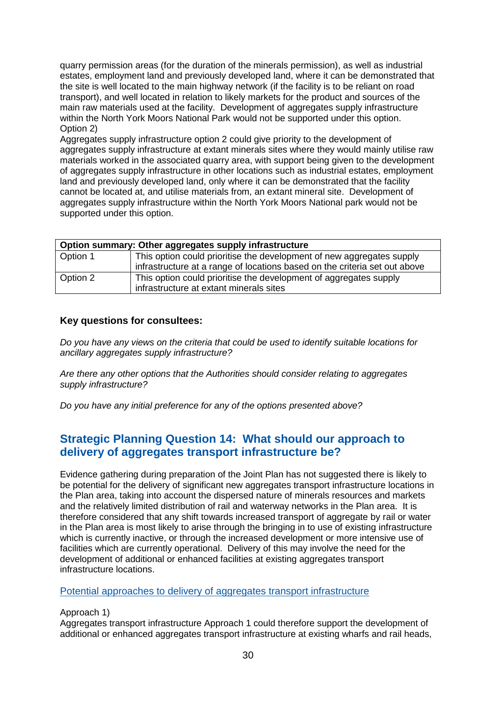quarry permission areas (for the duration of the minerals permission), as well as industrial estates, employment land and previously developed land, where it can be demonstrated that the site is well located to the main highway network (if the facility is to be reliant on road transport), and well located in relation to likely markets for the product and sources of the main raw materials used at the facility. Development of aggregates supply infrastructure within the North York Moors National Park would not be supported under this option. Option 2)

Aggregates supply infrastructure option 2 could give priority to the development of aggregates supply infrastructure at extant minerals sites where they would mainly utilise raw materials worked in the associated quarry area, with support being given to the development of aggregates supply infrastructure in other locations such as industrial estates, employment land and previously developed land, only where it can be demonstrated that the facility cannot be located at, and utilise materials from, an extant mineral site. Development of aggregates supply infrastructure within the North York Moors National park would not be supported under this option.

| Option summary: Other aggregates supply infrastructure |                                                                            |  |  |
|--------------------------------------------------------|----------------------------------------------------------------------------|--|--|
| Option 1                                               | This option could prioritise the development of new aggregates supply      |  |  |
|                                                        | infrastructure at a range of locations based on the criteria set out above |  |  |
| Option 2                                               | This option could prioritise the development of aggregates supply          |  |  |
|                                                        | infrastructure at extant minerals sites                                    |  |  |

# **Key questions for consultees:**

*Do you have any views on the criteria that could be used to identify suitable locations for ancillary aggregates supply infrastructure?*

*Are there any other options that the Authorities should consider relating to aggregates supply infrastructure?*

*Do you have any initial preference for any of the options presented above?*

# **Strategic Planning Question 14: What should our approach to delivery of aggregates transport infrastructure be?**

Evidence gathering during preparation of the Joint Plan has not suggested there is likely to be potential for the delivery of significant new aggregates transport infrastructure locations in the Plan area, taking into account the dispersed nature of minerals resources and markets and the relatively limited distribution of rail and waterway networks in the Plan area. It is therefore considered that any shift towards increased transport of aggregate by rail or water in the Plan area is most likely to arise through the bringing in to use of existing infrastructure which is currently inactive, or through the increased development or more intensive use of facilities which are currently operational. Delivery of this may involve the need for the development of additional or enhanced facilities at existing aggregates transport infrastructure locations.

#### Potential approaches to delivery of aggregates transport infrastructure

## Approach 1)

Aggregates transport infrastructure Approach 1 could therefore support the development of additional or enhanced aggregates transport infrastructure at existing wharfs and rail heads,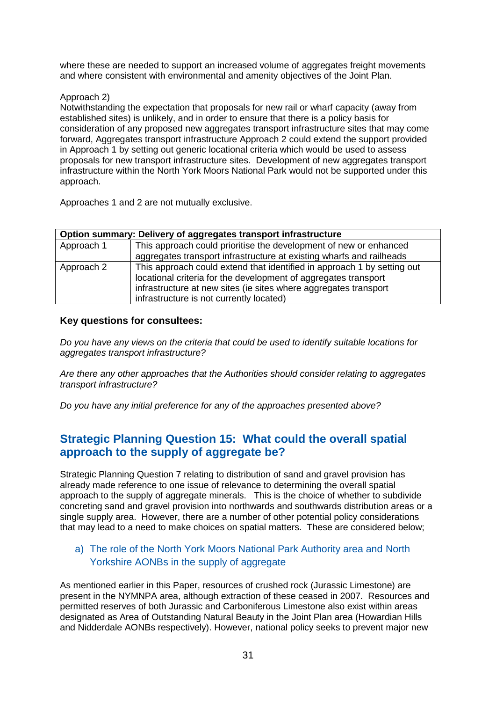where these are needed to support an increased volume of aggregates freight movements and where consistent with environmental and amenity objectives of the Joint Plan.

# Approach 2)

Notwithstanding the expectation that proposals for new rail or wharf capacity (away from established sites) is unlikely, and in order to ensure that there is a policy basis for consideration of any proposed new aggregates transport infrastructure sites that may come forward, Aggregates transport infrastructure Approach 2 could extend the support provided in Approach 1 by setting out generic locational criteria which would be used to assess proposals for new transport infrastructure sites. Development of new aggregates transport infrastructure within the North York Moors National Park would not be supported under this approach.

Approaches 1 and 2 are not mutually exclusive.

|            | Option summary: Delivery of aggregates transport infrastructure         |  |  |  |  |
|------------|-------------------------------------------------------------------------|--|--|--|--|
| Approach 1 | This approach could prioritise the development of new or enhanced       |  |  |  |  |
|            | aggregates transport infrastructure at existing wharfs and railheads    |  |  |  |  |
| Approach 2 | This approach could extend that identified in approach 1 by setting out |  |  |  |  |
|            | locational criteria for the development of aggregates transport         |  |  |  |  |
|            | infrastructure at new sites (ie sites where aggregates transport        |  |  |  |  |
|            | infrastructure is not currently located)                                |  |  |  |  |

# **Key questions for consultees:**

*Do you have any views on the criteria that could be used to identify suitable locations for aggregates transport infrastructure?*

*Are there any other approaches that the Authorities should consider relating to aggregates transport infrastructure?*

*Do you have any initial preference for any of the approaches presented above?*

# **Strategic Planning Question 15: What could the overall spatial approach to the supply of aggregate be?**

Strategic Planning Question 7 relating to distribution of sand and gravel provision has already made reference to one issue of relevance to determining the overall spatial approach to the supply of aggregate minerals. This is the choice of whether to subdivide concreting sand and gravel provision into northwards and southwards distribution areas or a single supply area. However, there are a number of other potential policy considerations that may lead to a need to make choices on spatial matters. These are considered below;

# a) The role of the North York Moors National Park Authority area and North Yorkshire AONBs in the supply of aggregate

As mentioned earlier in this Paper, resources of crushed rock (Jurassic Limestone) are present in the NYMNPA area, although extraction of these ceased in 2007. Resources and permitted reserves of both Jurassic and Carboniferous Limestone also exist within areas designated as Area of Outstanding Natural Beauty in the Joint Plan area (Howardian Hills and Nidderdale AONBs respectively). However, national policy seeks to prevent major new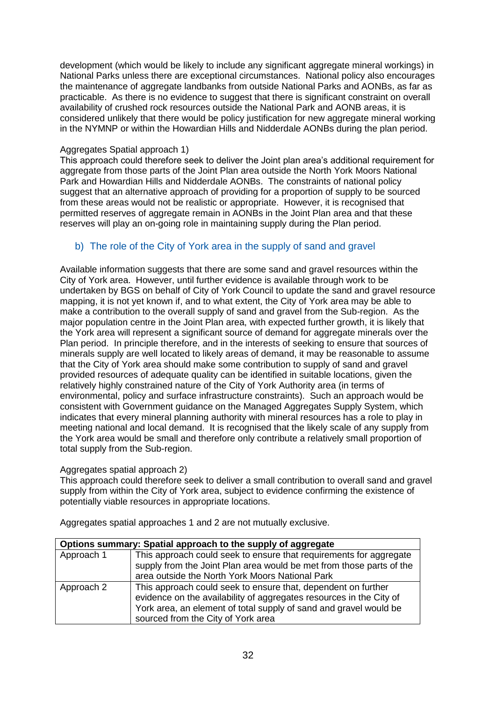development (which would be likely to include any significant aggregate mineral workings) in National Parks unless there are exceptional circumstances. National policy also encourages the maintenance of aggregate landbanks from outside National Parks and AONBs, as far as practicable. As there is no evidence to suggest that there is significant constraint on overall availability of crushed rock resources outside the National Park and AONB areas, it is considered unlikely that there would be policy justification for new aggregate mineral working in the NYMNP or within the Howardian Hills and Nidderdale AONBs during the plan period.

# Aggregates Spatial approach 1)

This approach could therefore seek to deliver the Joint plan area's additional requirement for aggregate from those parts of the Joint Plan area outside the North York Moors National Park and Howardian Hills and Nidderdale AONBs. The constraints of national policy suggest that an alternative approach of providing for a proportion of supply to be sourced from these areas would not be realistic or appropriate. However, it is recognised that permitted reserves of aggregate remain in AONBs in the Joint Plan area and that these reserves will play an on-going role in maintaining supply during the Plan period.

# b) The role of the City of York area in the supply of sand and gravel

Available information suggests that there are some sand and gravel resources within the City of York area. However, until further evidence is available through work to be undertaken by BGS on behalf of City of York Council to update the sand and gravel resource mapping, it is not yet known if, and to what extent, the City of York area may be able to make a contribution to the overall supply of sand and gravel from the Sub-region. As the major population centre in the Joint Plan area, with expected further growth, it is likely that the York area will represent a significant source of demand for aggregate minerals over the Plan period. In principle therefore, and in the interests of seeking to ensure that sources of minerals supply are well located to likely areas of demand, it may be reasonable to assume that the City of York area should make some contribution to supply of sand and gravel provided resources of adequate quality can be identified in suitable locations, given the relatively highly constrained nature of the City of York Authority area (in terms of environmental, policy and surface infrastructure constraints). Such an approach would be consistent with Government guidance on the Managed Aggregates Supply System, which indicates that every mineral planning authority with mineral resources has a role to play in meeting national and local demand. It is recognised that the likely scale of any supply from the York area would be small and therefore only contribute a relatively small proportion of total supply from the Sub-region.

## Aggregates spatial approach 2)

This approach could therefore seek to deliver a small contribution to overall sand and gravel supply from within the City of York area, subject to evidence confirming the existence of potentially viable resources in appropriate locations.

| Options summary: Spatial approach to the supply of aggregate |                                                                                                                                                                                                                                                 |  |  |
|--------------------------------------------------------------|-------------------------------------------------------------------------------------------------------------------------------------------------------------------------------------------------------------------------------------------------|--|--|
| Approach 1                                                   | This approach could seek to ensure that requirements for aggregate<br>supply from the Joint Plan area would be met from those parts of the<br>area outside the North York Moors National Park                                                   |  |  |
| Approach 2                                                   | This approach could seek to ensure that, dependent on further<br>evidence on the availability of aggregates resources in the City of<br>York area, an element of total supply of sand and gravel would be<br>sourced from the City of York area |  |  |

Aggregates spatial approaches 1 and 2 are not mutually exclusive.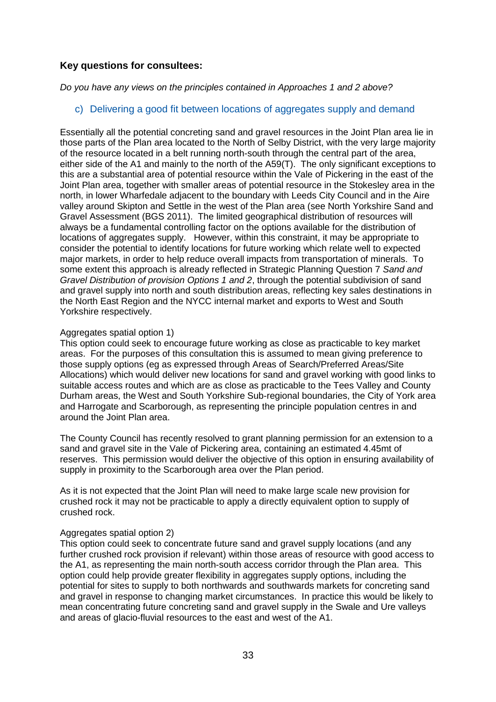# **Key questions for consultees:**

*Do you have any views on the principles contained in Approaches 1 and 2 above?*

c) Delivering a good fit between locations of aggregates supply and demand

Essentially all the potential concreting sand and gravel resources in the Joint Plan area lie in those parts of the Plan area located to the North of Selby District, with the very large majority of the resource located in a belt running north-south through the central part of the area, either side of the A1 and mainly to the north of the A59(T). The only significant exceptions to this are a substantial area of potential resource within the Vale of Pickering in the east of the Joint Plan area, together with smaller areas of potential resource in the Stokesley area in the north, in lower Wharfedale adjacent to the boundary with Leeds City Council and in the Aire valley around Skipton and Settle in the west of the Plan area (see North Yorkshire Sand and Gravel Assessment (BGS 2011). The limited geographical distribution of resources will always be a fundamental controlling factor on the options available for the distribution of locations of aggregates supply. However, within this constraint, it may be appropriate to consider the potential to identify locations for future working which relate well to expected major markets, in order to help reduce overall impacts from transportation of minerals. To some extent this approach is already reflected in Strategic Planning Question 7 *Sand and Gravel Distribution of provision Options 1 and 2*, through the potential subdivision of sand and gravel supply into north and south distribution areas, reflecting key sales destinations in the North East Region and the NYCC internal market and exports to West and South Yorkshire respectively.

#### Aggregates spatial option 1)

This option could seek to encourage future working as close as practicable to key market areas. For the purposes of this consultation this is assumed to mean giving preference to those supply options (eg as expressed through Areas of Search/Preferred Areas/Site Allocations) which would deliver new locations for sand and gravel working with good links to suitable access routes and which are as close as practicable to the Tees Valley and County Durham areas, the West and South Yorkshire Sub-regional boundaries, the City of York area and Harrogate and Scarborough, as representing the principle population centres in and around the Joint Plan area.

The County Council has recently resolved to grant planning permission for an extension to a sand and gravel site in the Vale of Pickering area, containing an estimated 4.45mt of reserves. This permission would deliver the objective of this option in ensuring availability of supply in proximity to the Scarborough area over the Plan period.

As it is not expected that the Joint Plan will need to make large scale new provision for crushed rock it may not be practicable to apply a directly equivalent option to supply of crushed rock.

## Aggregates spatial option 2)

This option could seek to concentrate future sand and gravel supply locations (and any further crushed rock provision if relevant) within those areas of resource with good access to the A1, as representing the main north-south access corridor through the Plan area. This option could help provide greater flexibility in aggregates supply options, including the potential for sites to supply to both northwards and southwards markets for concreting sand and gravel in response to changing market circumstances. In practice this would be likely to mean concentrating future concreting sand and gravel supply in the Swale and Ure valleys and areas of glacio-fluvial resources to the east and west of the A1.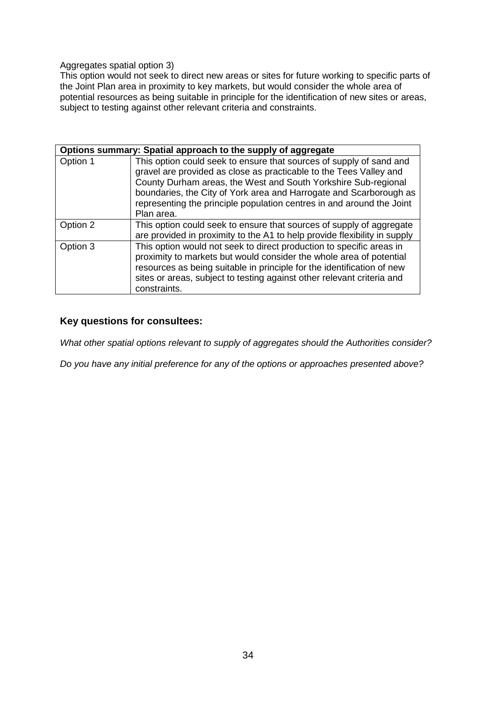#### Aggregates spatial option 3)

This option would not seek to direct new areas or sites for future working to specific parts of the Joint Plan area in proximity to key markets, but would consider the whole area of potential resources as being suitable in principle for the identification of new sites or areas, subject to testing against other relevant criteria and constraints.

|          | Options summary: Spatial approach to the supply of aggregate                                                                                                                                                                                                                                                                                                             |
|----------|--------------------------------------------------------------------------------------------------------------------------------------------------------------------------------------------------------------------------------------------------------------------------------------------------------------------------------------------------------------------------|
| Option 1 | This option could seek to ensure that sources of supply of sand and<br>gravel are provided as close as practicable to the Tees Valley and<br>County Durham areas, the West and South Yorkshire Sub-regional<br>boundaries, the City of York area and Harrogate and Scarborough as<br>representing the principle population centres in and around the Joint<br>Plan area. |
| Option 2 | This option could seek to ensure that sources of supply of aggregate<br>are provided in proximity to the A1 to help provide flexibility in supply                                                                                                                                                                                                                        |
| Option 3 | This option would not seek to direct production to specific areas in<br>proximity to markets but would consider the whole area of potential<br>resources as being suitable in principle for the identification of new<br>sites or areas, subject to testing against other relevant criteria and<br>constraints.                                                          |

# **Key questions for consultees:**

*What other spatial options relevant to supply of aggregates should the Authorities consider?*

*Do you have any initial preference for any of the options or approaches presented above?*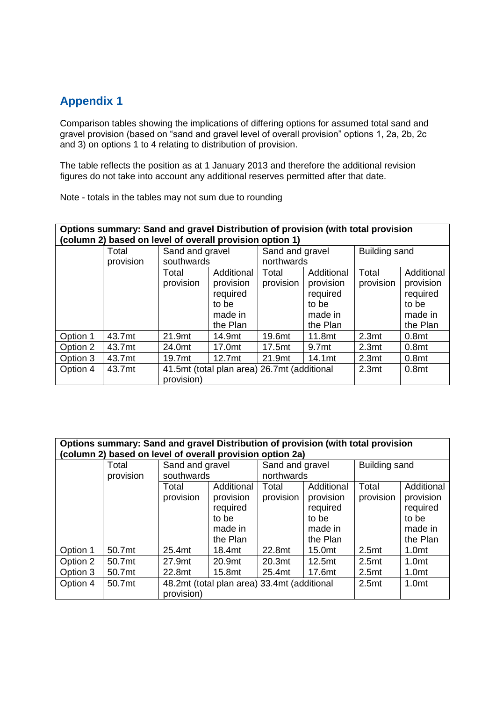# **Appendix 1**

Comparison tables showing the implications of differing options for assumed total sand and gravel provision (based on "sand and gravel level of overall provision" options 1, 2a, 2b, 2c and 3) on options 1 to 4 relating to distribution of provision.

The table reflects the position as at 1 January 2013 and therefore the additional revision figures do not take into account any additional reserves permitted after that date.

Note - totals in the tables may not sum due to rounding

| Options summary: Sand and gravel Distribution of provision (with total provision |  |
|----------------------------------------------------------------------------------|--|
| (column 2) based on level of overall provision option 1)                         |  |

|          | Total<br>provision | Sand and gravel<br>southwards                             |                                                                     | Sand and gravel<br>northwards |                                                                     | Building sand      |                                                                     |
|----------|--------------------|-----------------------------------------------------------|---------------------------------------------------------------------|-------------------------------|---------------------------------------------------------------------|--------------------|---------------------------------------------------------------------|
|          |                    | Total<br>provision                                        | Additional<br>provision<br>required<br>to be<br>made in<br>the Plan | Total<br>provision            | Additional<br>provision<br>required<br>to be<br>made in<br>the Plan | Total<br>provision | Additional<br>provision<br>required<br>to be<br>made in<br>the Plan |
| Option 1 | 43.7mt             | 21.9mt                                                    | 14.9mt                                                              | 19.6mt                        | 11.8mt                                                              | 2.3 <sub>mt</sub>  | 0.8 <sub>mt</sub>                                                   |
| Option 2 | 43.7mt             | 24.0mt                                                    | 17.0mt                                                              | 17.5mt                        | 9.7mt                                                               | 2.3 <sub>mt</sub>  | 0.8 <sub>mt</sub>                                                   |
| Option 3 | 43.7mt             | 19.7mt                                                    | 12.7mt                                                              | 21.9mt                        | 14.1mt                                                              | 2.3 <sub>mt</sub>  | 0.8 <sub>mt</sub>                                                   |
| Option 4 | 43.7mt             | 41.5mt (total plan area) 26.7mt (additional<br>provision) |                                                                     |                               | 2.3 <sub>mt</sub>                                                   | 0.8 <sub>mt</sub>  |                                                                     |

**Options summary: Sand and gravel Distribution of provision (with total provision (column 2) based on level of overall provision option 2a)**

|          | Total     | Sand and gravel                             |            | Sand and gravel |                    | Building sand     |                   |  |
|----------|-----------|---------------------------------------------|------------|-----------------|--------------------|-------------------|-------------------|--|
|          | provision |                                             | southwards |                 | northwards         |                   |                   |  |
|          |           | Total                                       | Additional | Total           | Additional         | Total             | Additional        |  |
|          |           | provision                                   | provision  | provision       | provision          | provision         | provision         |  |
|          |           |                                             | required   |                 | required           |                   | required          |  |
|          |           |                                             | to be      |                 | to be              |                   | to be             |  |
|          |           |                                             | made in    |                 | made in            |                   | made in           |  |
|          |           |                                             | the Plan   |                 | the Plan           |                   | the Plan          |  |
| Option 1 | 50.7mt    | 25.4mt                                      | 18.4mt     | 22.8mt          | 15.0mt             | 2.5 <sub>mt</sub> | 1.0 <sub>mt</sub> |  |
| Option 2 | 50.7mt    | 27.9mt                                      | 20.9mt     | 20.3mt          | 12.5 <sub>mt</sub> | 2.5 <sub>mt</sub> | 1.0 <sub>mt</sub> |  |
| Option 3 | 50.7mt    | 22.8mt                                      | 15.8mt     | 25.4mt          | 17.6mt             | 2.5 <sub>mt</sub> | 1.0 <sub>mt</sub> |  |
| Option 4 | 50.7mt    | 48.2mt (total plan area) 33.4mt (additional |            |                 | 2.5 <sub>mt</sub>  | 1.0 <sub>mt</sub> |                   |  |
|          |           | provision)                                  |            |                 |                    |                   |                   |  |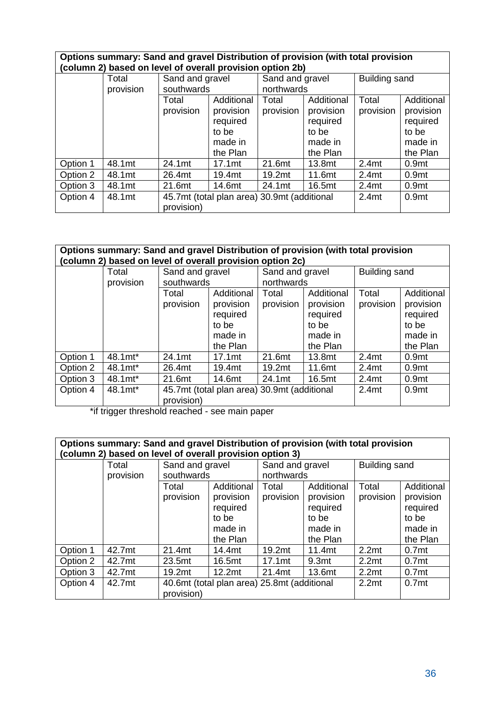| Options summary: Sand and gravel Distribution of provision (with total provision |  |
|----------------------------------------------------------------------------------|--|
| (column 2) based on level of overall provision option 2b)                        |  |

| (COMMINI Z) DASCU UN ICYCI UN OYCIAN DIOYISIUN OPHUN ZD) |           |                                                                                       |                    |                 |            |                   |                   |
|----------------------------------------------------------|-----------|---------------------------------------------------------------------------------------|--------------------|-----------------|------------|-------------------|-------------------|
|                                                          | Total     | Sand and gravel                                                                       |                    | Sand and gravel |            | Building sand     |                   |
|                                                          | provision | southwards                                                                            |                    | northwards      |            |                   |                   |
|                                                          |           | Total                                                                                 | Additional         | Total           | Additional | Total             | Additional        |
|                                                          |           | provision                                                                             | provision          | provision       | provision  | provision         | provision         |
|                                                          |           |                                                                                       | required           |                 | required   |                   | required          |
|                                                          |           |                                                                                       | to be              |                 | to be      |                   | to be             |
|                                                          |           |                                                                                       | made in            |                 | made in    |                   | made in           |
|                                                          |           |                                                                                       | the Plan           |                 | the Plan   |                   | the Plan          |
| Option 1                                                 | 48.1mt    | 24.1mt                                                                                | 17.1 <sub>mt</sub> | 21.6mt          | 13.8mt     | 2.4 <sub>mt</sub> | 0.9 <sub>mt</sub> |
| Option 2                                                 | 48.1mt    | 26.4mt                                                                                | 19.4mt             | 19.2mt          | 11.6mt     | 2.4 <sub>mt</sub> | 0.9 <sub>mt</sub> |
| Option 3                                                 | 48.1mt    | 21.6mt                                                                                | 14.6mt             | 24.1mt          | 16.5mt     | 2.4 <sub>mt</sub> | 0.9 <sub>mt</sub> |
| Option 4                                                 | 48.1mt    | 45.7mt (total plan area) 30.9mt (additional<br>0.9 <sub>mt</sub><br>2.4 <sub>mt</sub> |                    |                 |            |                   |                   |
|                                                          |           | provision)                                                                            |                    |                 |            |                   |                   |

# **Options summary: Sand and gravel Distribution of provision (with total provision (column 2) based on level of overall provision option 2c)**

| (CORTINI Z) DASCU UN IGVCI UN OVCI AN DI OVISION OPHON ZU) |           |                                                                                       |            |                 |            |                      |                   |
|------------------------------------------------------------|-----------|---------------------------------------------------------------------------------------|------------|-----------------|------------|----------------------|-------------------|
|                                                            | Total     | Sand and gravel                                                                       |            | Sand and gravel |            | <b>Building sand</b> |                   |
|                                                            | provision | southwards                                                                            |            | northwards      |            |                      |                   |
|                                                            |           | Total                                                                                 | Additional | Total           | Additional | Total                | Additional        |
|                                                            |           | provision                                                                             | provision  | provision       | provision  | provision            | provision         |
|                                                            |           |                                                                                       | required   |                 | required   |                      | required          |
|                                                            |           |                                                                                       | to be      |                 | to be      |                      | to be             |
|                                                            |           |                                                                                       | made in    |                 | made in    |                      | made in           |
|                                                            |           |                                                                                       | the Plan   |                 | the Plan   |                      | the Plan          |
| Option 1                                                   | 48.1mt*   | 24.1mt                                                                                | 17.1mt     | 21.6mt          | 13.8mt     | 2.4 <sub>mt</sub>    | 0.9 <sub>mt</sub> |
| Option 2                                                   | 48.1mt*   | 26.4mt                                                                                | 19.4mt     | 19.2mt          | 11.6mt     | 2.4 <sub>mt</sub>    | 0.9 <sub>mt</sub> |
| Option 3                                                   | 48.1mt*   | 21.6mt                                                                                | 14.6mt     | 24.1mt          | 16.5mt     | 2.4 <sub>mt</sub>    | 0.9 <sub>mt</sub> |
| Option 4                                                   | 48.1mt*   | 45.7mt (total plan area) 30.9mt (additional<br>0.9 <sub>mt</sub><br>2.4 <sub>mt</sub> |            |                 |            |                      |                   |
|                                                            |           | provision)                                                                            |            |                 |            |                      |                   |

\*if trigger threshold reached - see main paper

#### **Options summary: Sand and gravel Distribution of provision (with total provision (column 2) based on level of overall provision option 3)**

| (COMMINI Z) DASCU UN ICYCI UN OVCIAN DIOVISION OPHON S) |           |                                             |            |                 |                   |                   |                   |
|---------------------------------------------------------|-----------|---------------------------------------------|------------|-----------------|-------------------|-------------------|-------------------|
|                                                         | Total     | Sand and gravel                             |            | Sand and gravel |                   | Building sand     |                   |
|                                                         | provision | southwards                                  |            | northwards      |                   |                   |                   |
|                                                         |           | Total                                       | Additional | Total           | Additional        | Total             | Additional        |
|                                                         |           | provision                                   | provision  | provision       | provision         | provision         | provision         |
|                                                         |           |                                             | required   |                 | required          |                   | required          |
|                                                         |           |                                             | to be      |                 | to be             |                   | to be             |
|                                                         |           |                                             | made in    |                 | made in           |                   | made in           |
|                                                         |           |                                             | the Plan   |                 | the Plan          |                   | the Plan          |
| Option 1                                                | 42.7mt    | 21.4mt                                      | 14.4mt     | 19.2mt          | 11.4mt            | 2.2 <sub>mt</sub> | 0.7 <sub>mt</sub> |
| Option 2                                                | 42.7mt    | 23.5mt                                      | 16.5mt     | 17.1mt          | 9.3 <sub>mt</sub> | 2.2 <sub>mt</sub> | 0.7 <sub>mt</sub> |
| Option 3                                                | 42.7mt    | 19.2mt                                      | 12.2mt     | 21.4mt          | 13.6mt            | 2.2 <sub>mt</sub> | 0.7 <sub>mt</sub> |
| Option 4                                                | 42.7mt    | 40.6mt (total plan area) 25.8mt (additional |            |                 | 2.2 <sub>mt</sub> | 0.7 <sub>mt</sub> |                   |
|                                                         |           | provision)                                  |            |                 |                   |                   |                   |